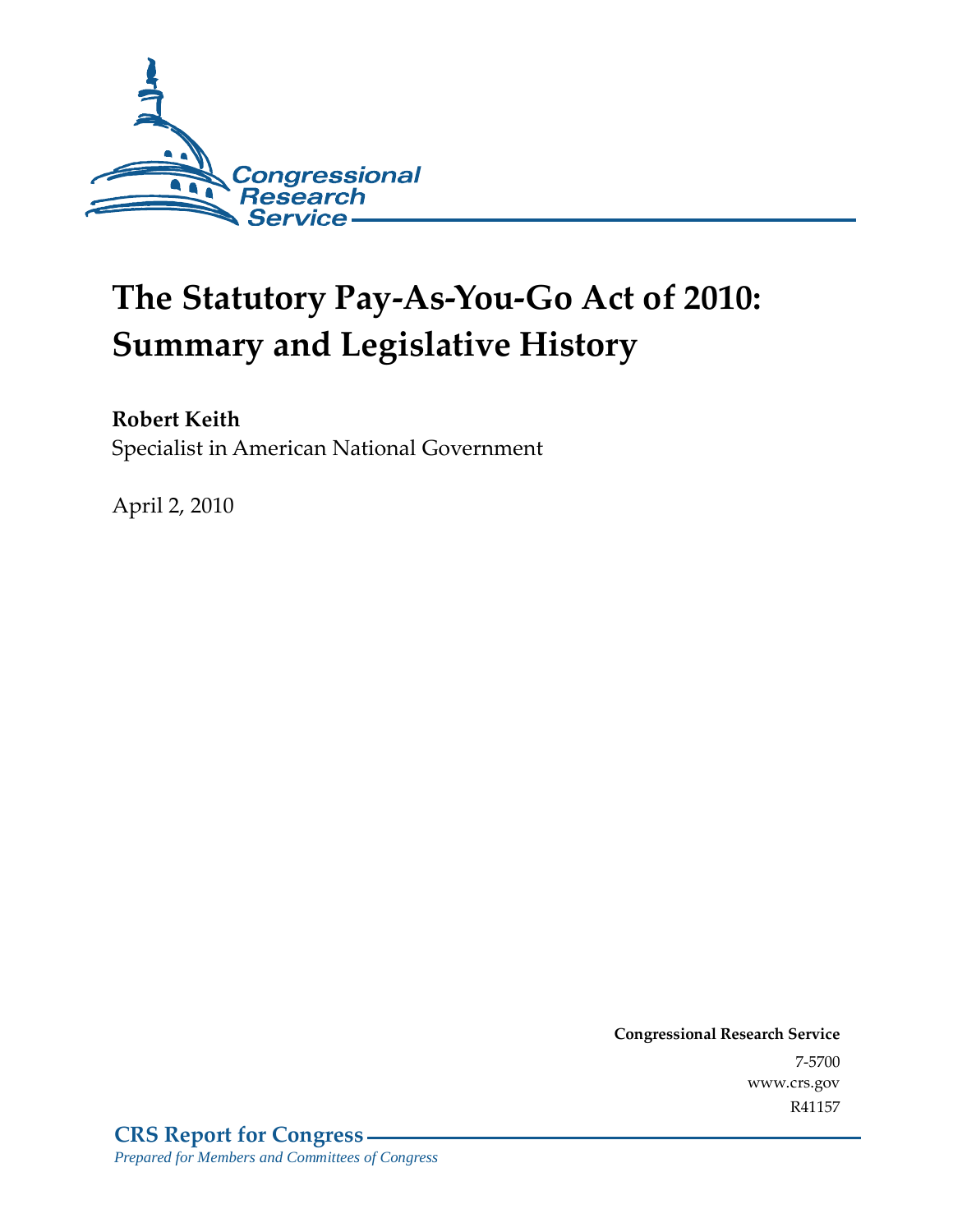

# **The Statutory Pay-As-You-Go Act of 2010: Summary and Legislative History**

## **Robert Keith**

Specialist in American National Government

April 2, 2010

**Congressional Research Service** 7-5700 www.crs.gov R41157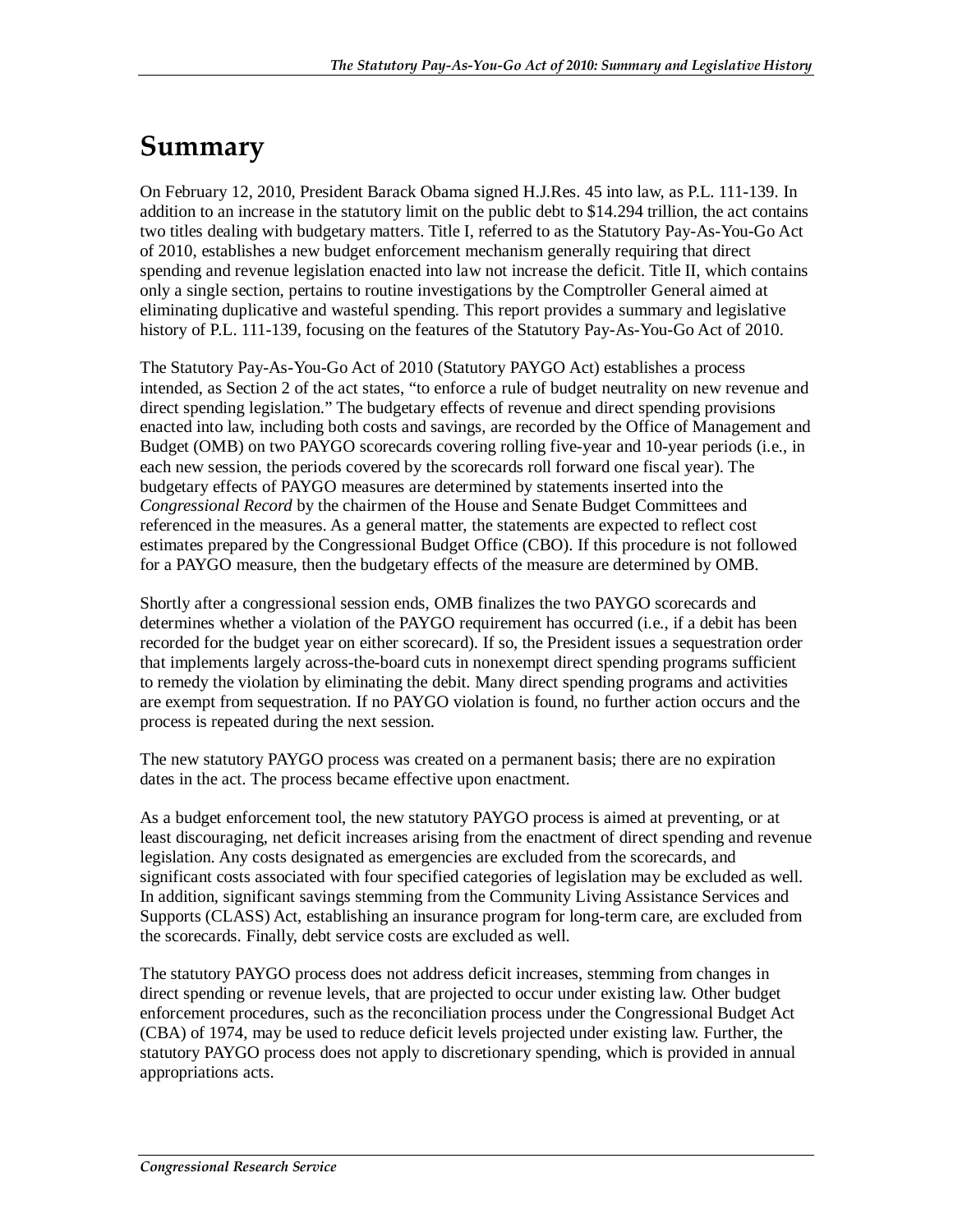# **Summary**

On February 12, 2010, President Barack Obama signed H.J.Res. 45 into law, as P.L. 111-139. In addition to an increase in the statutory limit on the public debt to \$14.294 trillion, the act contains two titles dealing with budgetary matters. Title I, referred to as the Statutory Pay-As-You-Go Act of 2010, establishes a new budget enforcement mechanism generally requiring that direct spending and revenue legislation enacted into law not increase the deficit. Title II, which contains only a single section, pertains to routine investigations by the Comptroller General aimed at eliminating duplicative and wasteful spending. This report provides a summary and legislative history of P.L. 111-139, focusing on the features of the Statutory Pay-As-You-Go Act of 2010.

The Statutory Pay-As-You-Go Act of 2010 (Statutory PAYGO Act) establishes a process intended, as Section 2 of the act states, "to enforce a rule of budget neutrality on new revenue and direct spending legislation." The budgetary effects of revenue and direct spending provisions enacted into law, including both costs and savings, are recorded by the Office of Management and Budget (OMB) on two PAYGO scorecards covering rolling five-year and 10-year periods (i.e., in each new session, the periods covered by the scorecards roll forward one fiscal year). The budgetary effects of PAYGO measures are determined by statements inserted into the *Congressional Record* by the chairmen of the House and Senate Budget Committees and referenced in the measures. As a general matter, the statements are expected to reflect cost estimates prepared by the Congressional Budget Office (CBO). If this procedure is not followed for a PAYGO measure, then the budgetary effects of the measure are determined by OMB.

Shortly after a congressional session ends, OMB finalizes the two PAYGO scorecards and determines whether a violation of the PAYGO requirement has occurred (i.e., if a debit has been recorded for the budget year on either scorecard). If so, the President issues a sequestration order that implements largely across-the-board cuts in nonexempt direct spending programs sufficient to remedy the violation by eliminating the debit. Many direct spending programs and activities are exempt from sequestration. If no PAYGO violation is found, no further action occurs and the process is repeated during the next session.

The new statutory PAYGO process was created on a permanent basis; there are no expiration dates in the act. The process became effective upon enactment.

As a budget enforcement tool, the new statutory PAYGO process is aimed at preventing, or at least discouraging, net deficit increases arising from the enactment of direct spending and revenue legislation. Any costs designated as emergencies are excluded from the scorecards, and significant costs associated with four specified categories of legislation may be excluded as well. In addition, significant savings stemming from the Community Living Assistance Services and Supports (CLASS) Act, establishing an insurance program for long-term care, are excluded from the scorecards. Finally, debt service costs are excluded as well.

The statutory PAYGO process does not address deficit increases, stemming from changes in direct spending or revenue levels, that are projected to occur under existing law. Other budget enforcement procedures, such as the reconciliation process under the Congressional Budget Act (CBA) of 1974, may be used to reduce deficit levels projected under existing law. Further, the statutory PAYGO process does not apply to discretionary spending, which is provided in annual appropriations acts.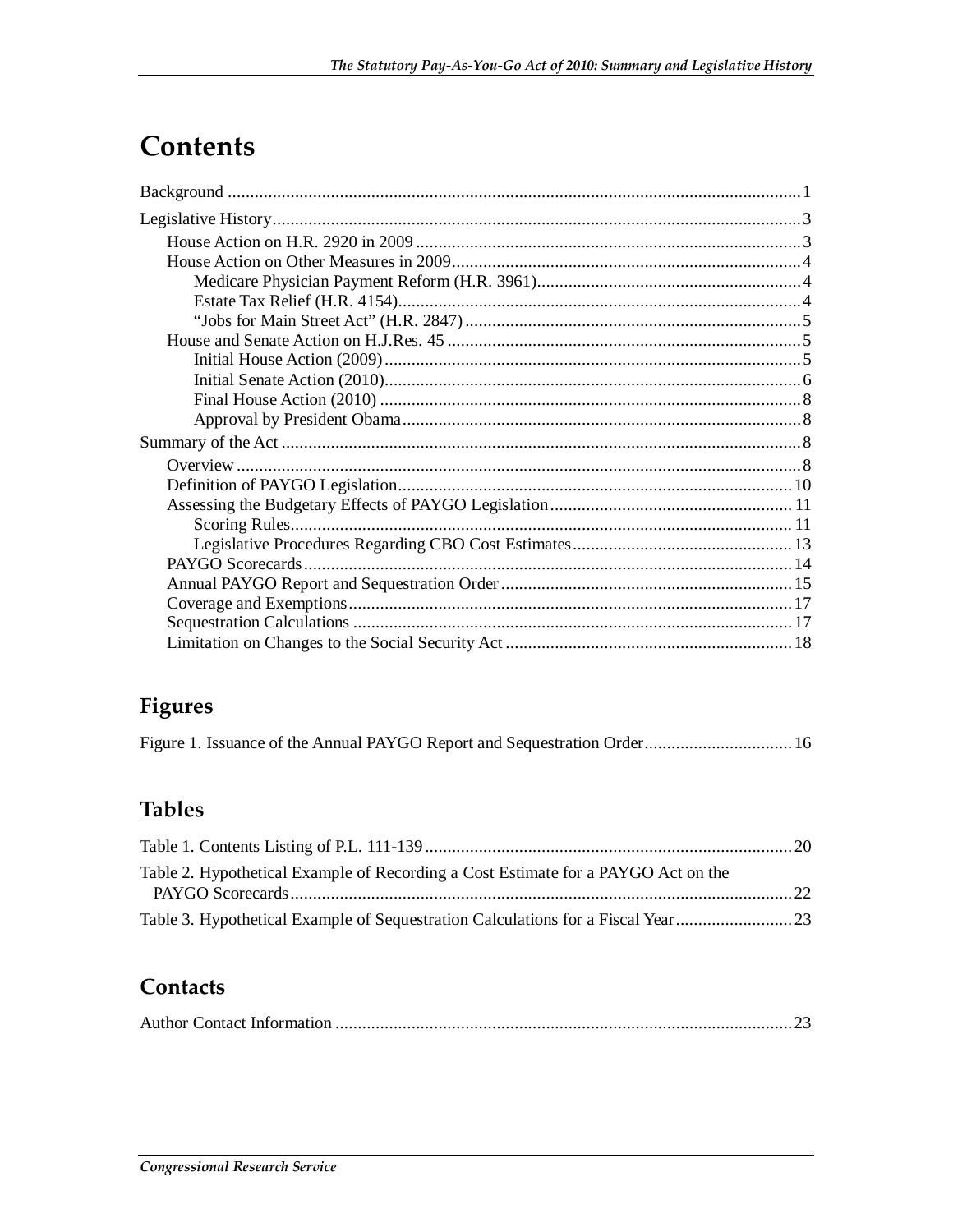# **Contents**

# Figures

|--|--|--|--|--|

# **Tables**

| Table 2. Hypothetical Example of Recording a Cost Estimate for a PAYGO Act on the |  |
|-----------------------------------------------------------------------------------|--|
|                                                                                   |  |
|                                                                                   |  |

## Contacts

|--|--|--|--|--|--|--|--|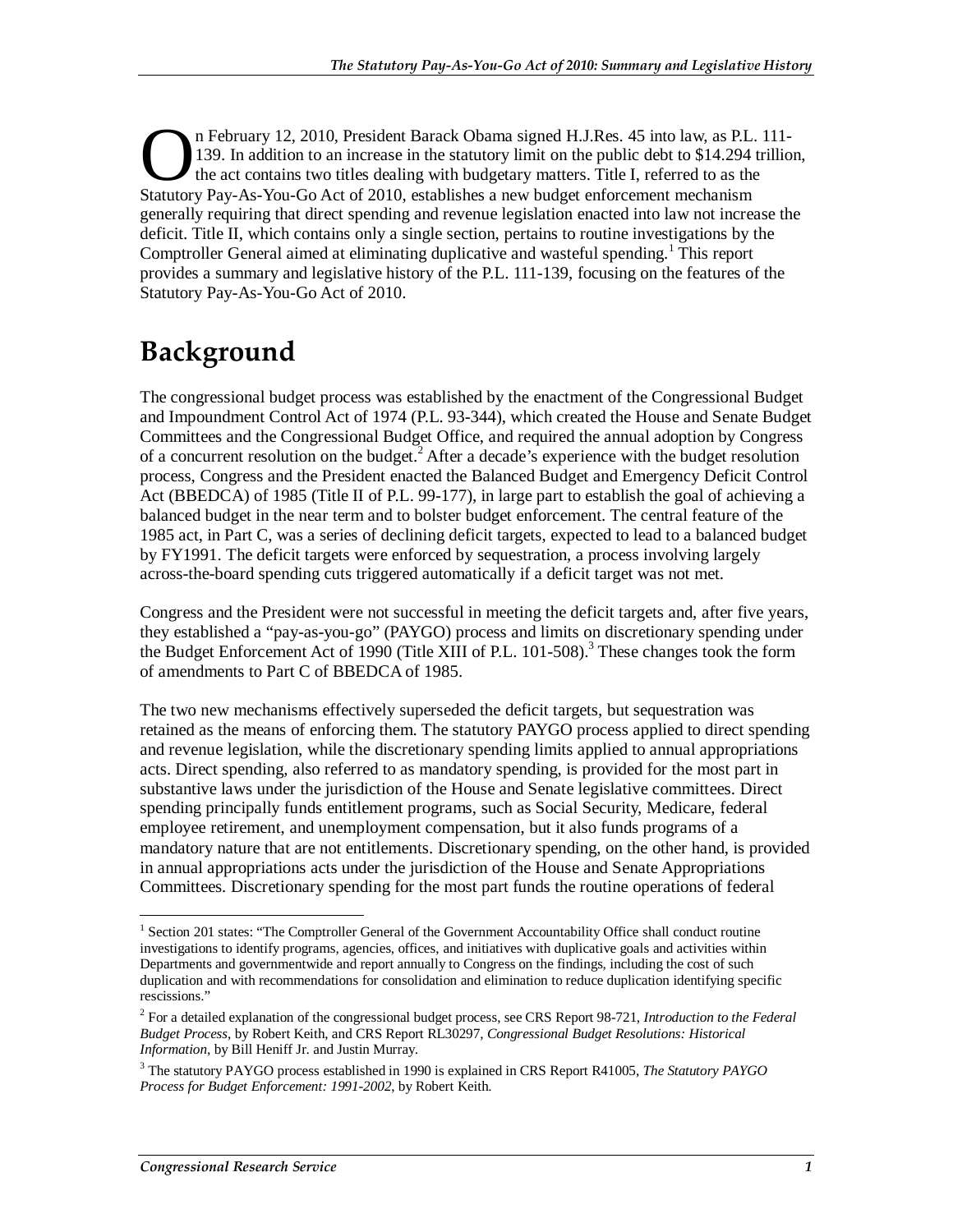n February 12, 2010, President Barack Obama signed H.J.Res. 45 into law, as P.L. 111- 139. In addition to an increase in the statutory limit on the public debt to \$14.294 trillion, the act contains two titles dealing with budgetary matters. Title I, referred to as the The February 12, 2010, President Barack Obama signed H.J.Res. 45 into law, as P.L. 139. In addition to an increase in the statutory limit on the public debt to \$14.294 the act contains two titles dealing with budgetary mat generally requiring that direct spending and revenue legislation enacted into law not increase the deficit. Title II, which contains only a single section, pertains to routine investigations by the Comptroller General aimed at eliminating duplicative and wasteful spending.<sup>1</sup> This report provides a summary and legislative history of the P.L. 111-139, focusing on the features of the Statutory Pay-As-You-Go Act of 2010.

# **Background**

The congressional budget process was established by the enactment of the Congressional Budget and Impoundment Control Act of 1974 (P.L. 93-344), which created the House and Senate Budget Committees and the Congressional Budget Office, and required the annual adoption by Congress of a concurrent resolution on the budget.<sup>2</sup> After a decade's experience with the budget resolution process, Congress and the President enacted the Balanced Budget and Emergency Deficit Control Act (BBEDCA) of 1985 (Title II of P.L. 99-177), in large part to establish the goal of achieving a balanced budget in the near term and to bolster budget enforcement. The central feature of the 1985 act, in Part C, was a series of declining deficit targets, expected to lead to a balanced budget by FY1991. The deficit targets were enforced by sequestration, a process involving largely across-the-board spending cuts triggered automatically if a deficit target was not met.

Congress and the President were not successful in meeting the deficit targets and, after five years, they established a "pay-as-you-go" (PAYGO) process and limits on discretionary spending under the Budget Enforcement Act of 1990 (Title XIII of P.L. 101-508).<sup>3</sup> These changes took the form of amendments to Part C of BBEDCA of 1985.

The two new mechanisms effectively superseded the deficit targets, but sequestration was retained as the means of enforcing them. The statutory PAYGO process applied to direct spending and revenue legislation, while the discretionary spending limits applied to annual appropriations acts. Direct spending, also referred to as mandatory spending, is provided for the most part in substantive laws under the jurisdiction of the House and Senate legislative committees. Direct spending principally funds entitlement programs, such as Social Security, Medicare, federal employee retirement, and unemployment compensation, but it also funds programs of a mandatory nature that are not entitlements. Discretionary spending, on the other hand, is provided in annual appropriations acts under the jurisdiction of the House and Senate Appropriations Committees. Discretionary spending for the most part funds the routine operations of federal

<u>.</u>

<sup>&</sup>lt;sup>1</sup> Section 201 states: "The Comptroller General of the Government Accountability Office shall conduct routine investigations to identify programs, agencies, offices, and initiatives with duplicative goals and activities within Departments and governmentwide and report annually to Congress on the findings, including the cost of such duplication and with recommendations for consolidation and elimination to reduce duplication identifying specific rescissions."

<sup>2</sup> For a detailed explanation of the congressional budget process, see CRS Report 98-721, *Introduction to the Federal Budget Process*, by Robert Keith, and CRS Report RL30297, *Congressional Budget Resolutions: Historical Information*, by Bill Heniff Jr. and Justin Murray.

<sup>3</sup> The statutory PAYGO process established in 1990 is explained in CRS Report R41005, *The Statutory PAYGO Process for Budget Enforcement: 1991-2002*, by Robert Keith.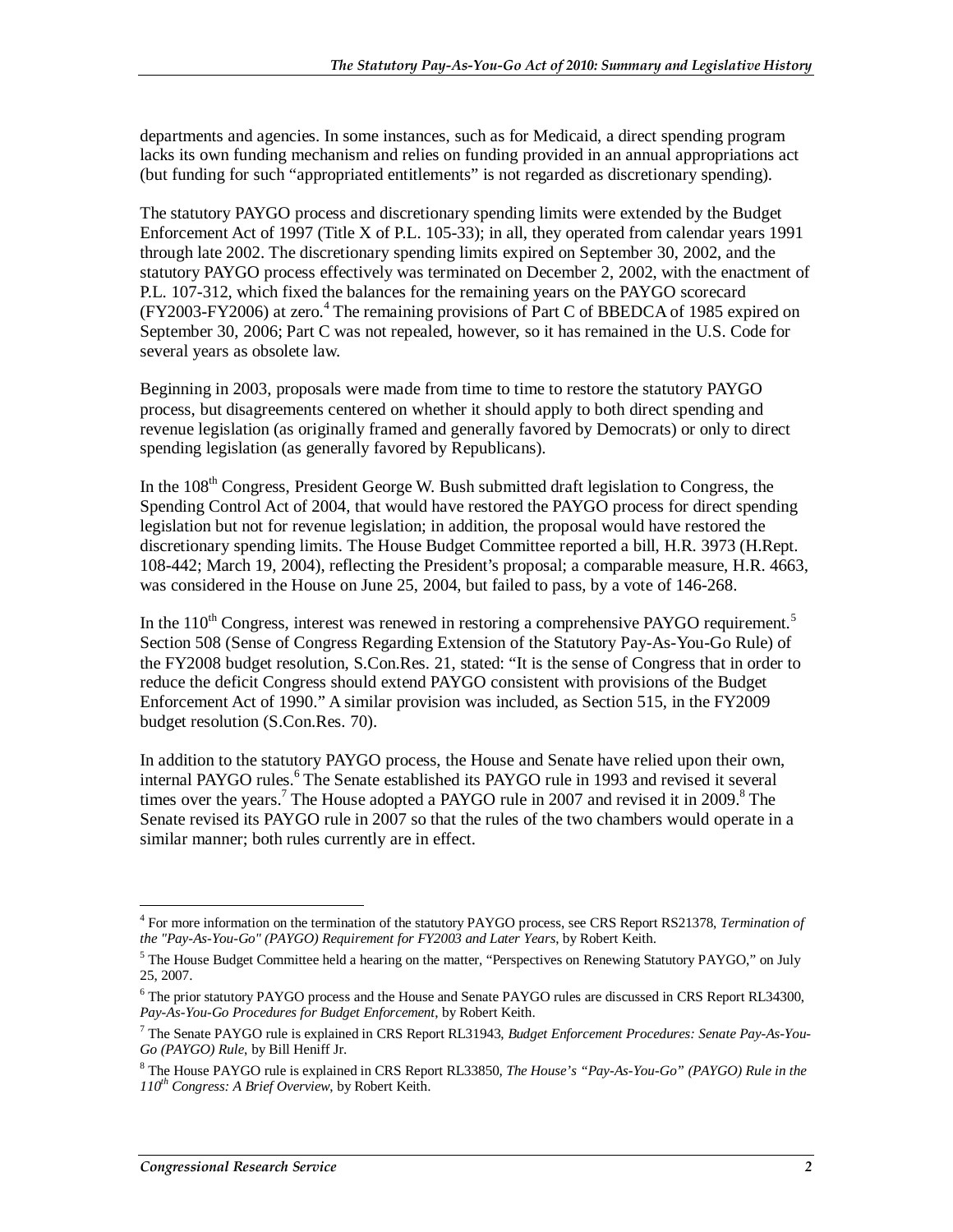departments and agencies. In some instances, such as for Medicaid, a direct spending program lacks its own funding mechanism and relies on funding provided in an annual appropriations act (but funding for such "appropriated entitlements" is not regarded as discretionary spending).

The statutory PAYGO process and discretionary spending limits were extended by the Budget Enforcement Act of 1997 (Title X of P.L. 105-33); in all, they operated from calendar years 1991 through late 2002. The discretionary spending limits expired on September 30, 2002, and the statutory PAYGO process effectively was terminated on December 2, 2002, with the enactment of P.L. 107-312, which fixed the balances for the remaining years on the PAYGO scorecard (FY2003-FY2006) at zero.<sup>4</sup> The remaining provisions of Part C of BBEDCA of 1985 expired on September 30, 2006; Part C was not repealed, however, so it has remained in the U.S. Code for several years as obsolete law.

Beginning in 2003, proposals were made from time to time to restore the statutory PAYGO process, but disagreements centered on whether it should apply to both direct spending and revenue legislation (as originally framed and generally favored by Democrats) or only to direct spending legislation (as generally favored by Republicans).

In the 108<sup>th</sup> Congress, President George W. Bush submitted draft legislation to Congress, the Spending Control Act of 2004, that would have restored the PAYGO process for direct spending legislation but not for revenue legislation; in addition, the proposal would have restored the discretionary spending limits. The House Budget Committee reported a bill, H.R. 3973 (H.Rept. 108-442; March 19, 2004), reflecting the President's proposal; a comparable measure, H.R. 4663, was considered in the House on June 25, 2004, but failed to pass, by a vote of 146-268.

In the  $110<sup>th</sup>$  Congress, interest was renewed in restoring a comprehensive PAYGO requirement.<sup>5</sup> Section 508 (Sense of Congress Regarding Extension of the Statutory Pay-As-You-Go Rule) of the FY2008 budget resolution, S.Con.Res. 21, stated: "It is the sense of Congress that in order to reduce the deficit Congress should extend PAYGO consistent with provisions of the Budget Enforcement Act of 1990." A similar provision was included, as Section 515, in the FY2009 budget resolution (S.Con.Res. 70).

In addition to the statutory PAYGO process, the House and Senate have relied upon their own, internal PAYGO rules.<sup>6</sup> The Senate established its PAYGO rule in 1993 and revised it several times over the years.<sup>7</sup> The House adopted a PAYGO rule in 2007 and revised it in 2009.<sup>8</sup> The Senate revised its PAYGO rule in 2007 so that the rules of the two chambers would operate in a similar manner; both rules currently are in effect.

<sup>&</sup>lt;u>.</u> 4 For more information on the termination of the statutory PAYGO process, see CRS Report RS21378, *Termination of the "Pay-As-You-Go" (PAYGO) Requirement for FY2003 and Later Years*, by Robert Keith.

<sup>&</sup>lt;sup>5</sup> The House Budget Committee held a hearing on the matter, "Perspectives on Renewing Statutory PAYGO," on July 25, 2007.

<sup>&</sup>lt;sup>6</sup> The prior statutory PAYGO process and the House and Senate PAYGO rules are discussed in CRS Report RL34300, *Pay-As-You-Go Procedures for Budget Enforcement*, by Robert Keith.

<sup>7</sup> The Senate PAYGO rule is explained in CRS Report RL31943, *Budget Enforcement Procedures: Senate Pay-As-You-Go (PAYGO) Rule*, by Bill Heniff Jr.

<sup>8</sup> The House PAYGO rule is explained in CRS Report RL33850, *The House's "Pay-As-You-Go" (PAYGO) Rule in the 110th Congress: A Brief Overview*, by Robert Keith.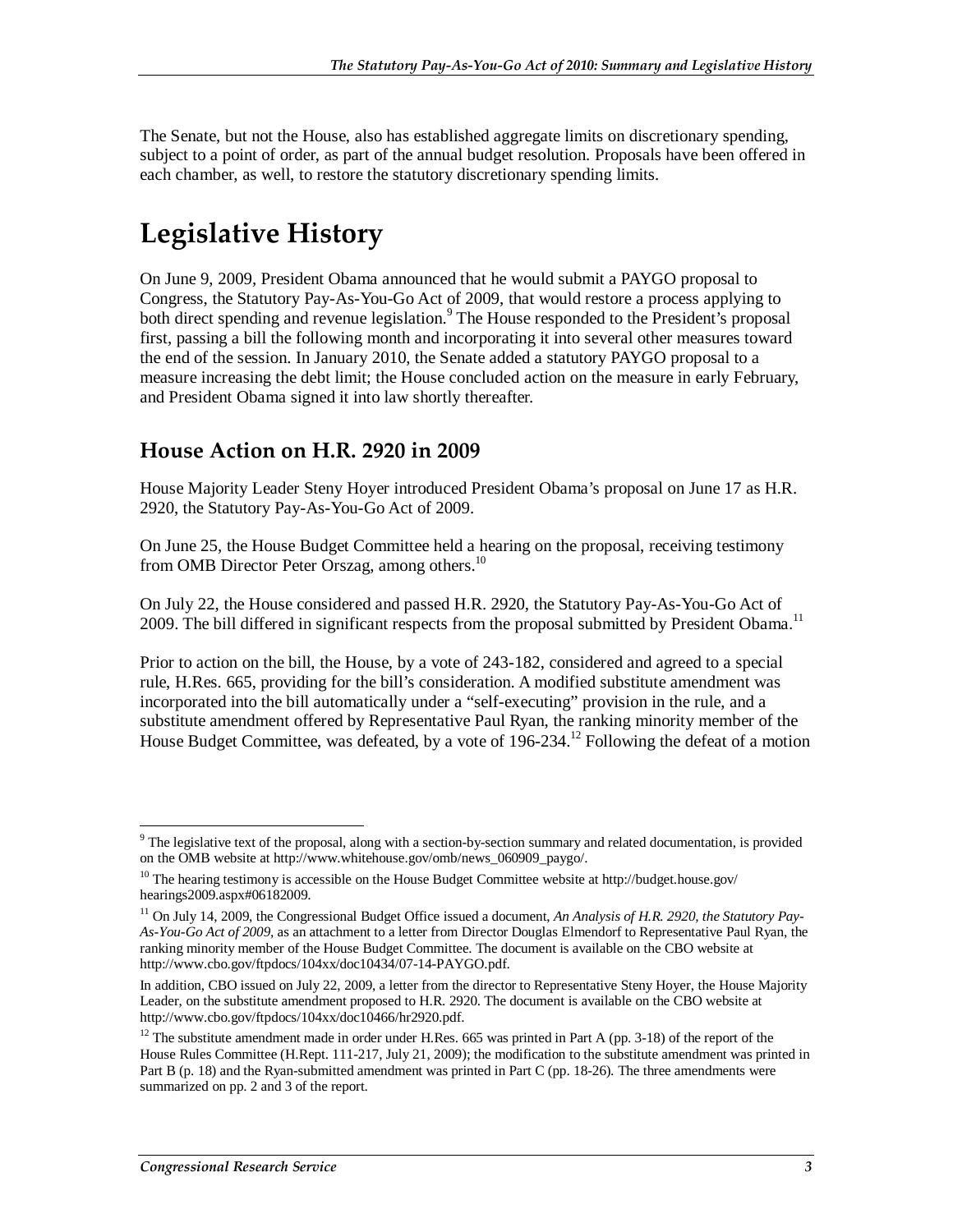The Senate, but not the House, also has established aggregate limits on discretionary spending, subject to a point of order, as part of the annual budget resolution. Proposals have been offered in each chamber, as well, to restore the statutory discretionary spending limits.

# **Legislative History**

On June 9, 2009, President Obama announced that he would submit a PAYGO proposal to Congress, the Statutory Pay-As-You-Go Act of 2009, that would restore a process applying to both direct spending and revenue legislation.<sup>9</sup> The House responded to the President's proposal first, passing a bill the following month and incorporating it into several other measures toward the end of the session. In January 2010, the Senate added a statutory PAYGO proposal to a measure increasing the debt limit; the House concluded action on the measure in early February, and President Obama signed it into law shortly thereafter.

### **House Action on H.R. 2920 in 2009**

House Majority Leader Steny Hoyer introduced President Obama's proposal on June 17 as H.R. 2920, the Statutory Pay-As-You-Go Act of 2009.

On June 25, the House Budget Committee held a hearing on the proposal, receiving testimony from OMB Director Peter Orszag, among others.<sup>10</sup>

On July 22, the House considered and passed H.R. 2920, the Statutory Pay-As-You-Go Act of 2009. The bill differed in significant respects from the proposal submitted by President Obama.<sup>11</sup>

Prior to action on the bill, the House, by a vote of 243-182, considered and agreed to a special rule, H.Res. 665, providing for the bill's consideration. A modified substitute amendment was incorporated into the bill automatically under a "self-executing" provision in the rule, and a substitute amendment offered by Representative Paul Ryan, the ranking minority member of the House Budget Committee, was defeated, by a vote of 196-234.<sup>12</sup> Following the defeat of a motion

<sup>-</sup> $9$  The legislative text of the proposal, along with a section-by-section summary and related documentation, is provided on the OMB website at http://www.whitehouse.gov/omb/news\_060909\_paygo/.

 $10$  The hearing testimony is accessible on the House Budget Committee website at http://budget.house.gov/ hearings2009.aspx#06182009.

<sup>&</sup>lt;sup>11</sup> On July 14, 2009, the Congressional Budget Office issued a document, *An Analysis of H.R. 2920, the Statutory Pay-As-You-Go Act of 2009,* as an attachment to a letter from Director Douglas Elmendorf to Representative Paul Ryan, the ranking minority member of the House Budget Committee. The document is available on the CBO website at http://www.cbo.gov/ftpdocs/104xx/doc10434/07-14-PAYGO.pdf.

In addition, CBO issued on July 22, 2009, a letter from the director to Representative Steny Hoyer, the House Majority Leader, on the substitute amendment proposed to H.R. 2920. The document is available on the CBO website at http://www.cbo.gov/ftpdocs/104xx/doc10466/hr2920.pdf.

 $12$  The substitute amendment made in order under H.Res. 665 was printed in Part A (pp. 3-18) of the report of the House Rules Committee (H.Rept. 111-217, July 21, 2009); the modification to the substitute amendment was printed in Part B (p. 18) and the Ryan-submitted amendment was printed in Part C (pp. 18-26). The three amendments were summarized on pp. 2 and 3 of the report.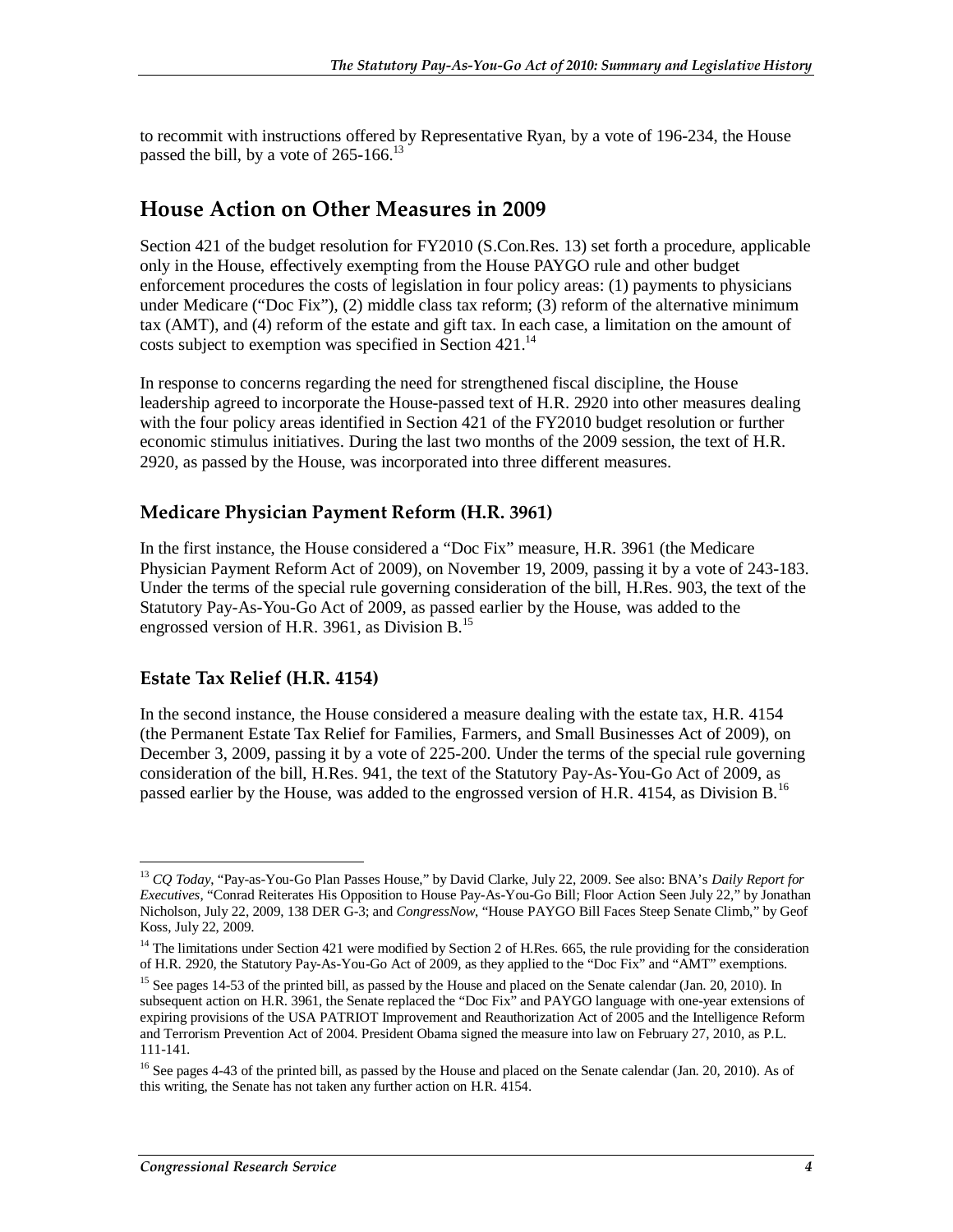to recommit with instructions offered by Representative Ryan, by a vote of 196-234, the House passed the bill, by a vote of  $265-166$ .<sup>13</sup>

### **House Action on Other Measures in 2009**

Section 421 of the budget resolution for FY2010 (S.Con.Res. 13) set forth a procedure, applicable only in the House, effectively exempting from the House PAYGO rule and other budget enforcement procedures the costs of legislation in four policy areas: (1) payments to physicians under Medicare ("Doc Fix"), (2) middle class tax reform; (3) reform of the alternative minimum tax (AMT), and (4) reform of the estate and gift tax. In each case, a limitation on the amount of costs subject to exemption was specified in Section 421.<sup>14</sup>

In response to concerns regarding the need for strengthened fiscal discipline, the House leadership agreed to incorporate the House-passed text of H.R. 2920 into other measures dealing with the four policy areas identified in Section 421 of the FY2010 budget resolution or further economic stimulus initiatives. During the last two months of the 2009 session, the text of H.R. 2920, as passed by the House, was incorporated into three different measures.

### **Medicare Physician Payment Reform (H.R. 3961)**

In the first instance, the House considered a "Doc Fix" measure, H.R. 3961 (the Medicare Physician Payment Reform Act of 2009), on November 19, 2009, passing it by a vote of 243-183. Under the terms of the special rule governing consideration of the bill, H.Res. 903, the text of the Statutory Pay-As-You-Go Act of 2009, as passed earlier by the House, was added to the engrossed version of H.R. 3961, as Division B. $^{15}$ 

### **Estate Tax Relief (H.R. 4154)**

-

In the second instance, the House considered a measure dealing with the estate tax, H.R. 4154 (the Permanent Estate Tax Relief for Families, Farmers, and Small Businesses Act of 2009), on December 3, 2009, passing it by a vote of 225-200. Under the terms of the special rule governing consideration of the bill, H.Res. 941, the text of the Statutory Pay-As-You-Go Act of 2009, as passed earlier by the House, was added to the engrossed version of H.R. 4154, as Division B.<sup>16</sup>

<sup>13</sup> *CQ Today*, "Pay-as-You-Go Plan Passes House," by David Clarke, July 22, 2009. See also: BNA's *Daily Report for Executives*, "Conrad Reiterates His Opposition to House Pay-As-You-Go Bill; Floor Action Seen July 22," by Jonathan Nicholson, July 22, 2009, 138 DER G-3; and *CongressNow*, "House PAYGO Bill Faces Steep Senate Climb," by Geof Koss, July 22, 2009.

 $14$  The limitations under Section 421 were modified by Section 2 of H.Res. 665, the rule providing for the consideration of H.R. 2920, the Statutory Pay-As-You-Go Act of 2009, as they applied to the "Doc Fix" and "AMT" exemptions.

<sup>&</sup>lt;sup>15</sup> See pages 14-53 of the printed bill, as passed by the House and placed on the Senate calendar (Jan. 20, 2010). In subsequent action on H.R. 3961, the Senate replaced the "Doc Fix" and PAYGO language with one-year extensions of expiring provisions of the USA PATRIOT Improvement and Reauthorization Act of 2005 and the Intelligence Reform and Terrorism Prevention Act of 2004. President Obama signed the measure into law on February 27, 2010, as P.L. 111-141.

<sup>&</sup>lt;sup>16</sup> See pages 4-43 of the printed bill, as passed by the House and placed on the Senate calendar (Jan. 20, 2010). As of this writing, the Senate has not taken any further action on H.R. 4154.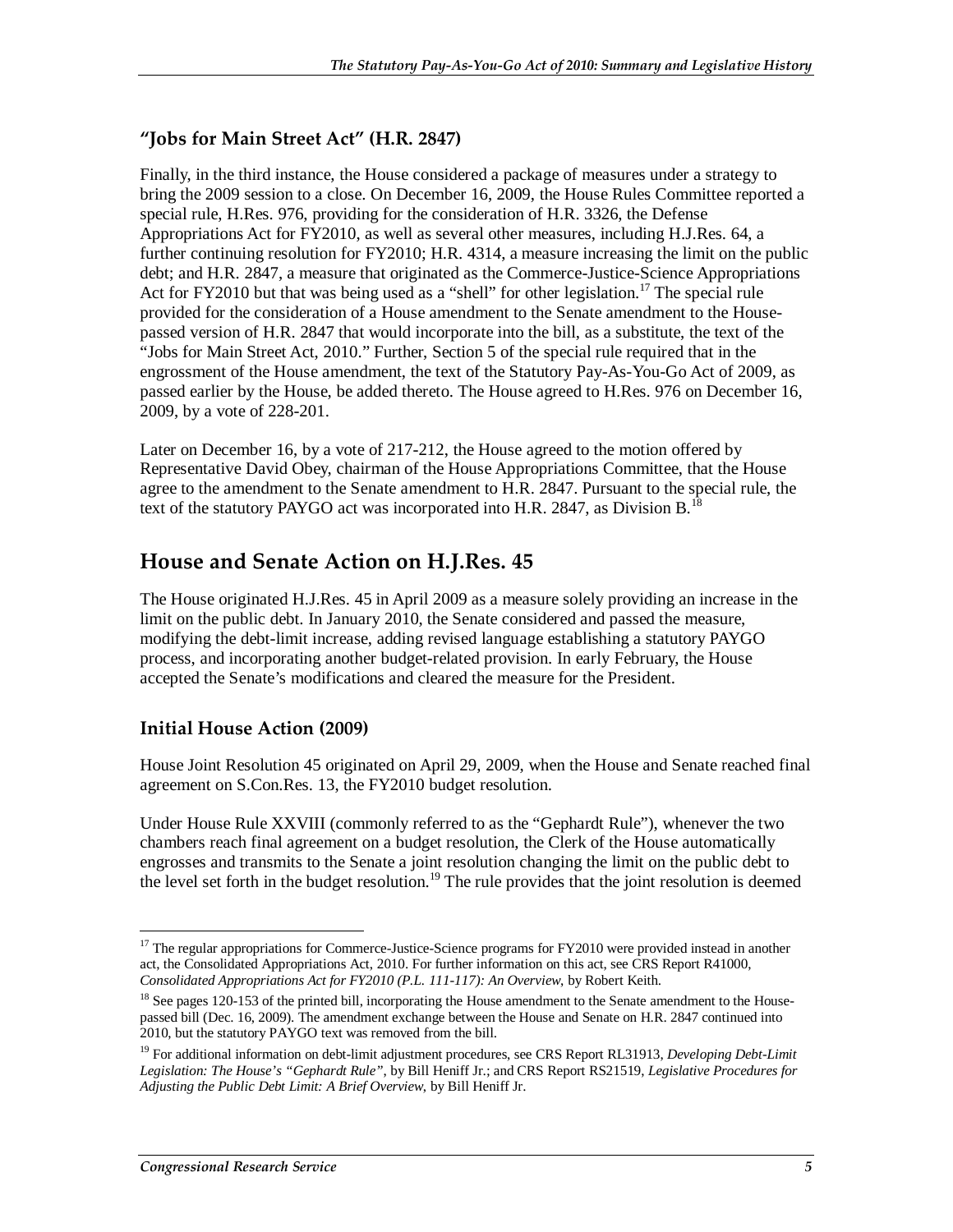#### **"Jobs for Main Street Act" (H.R. 2847)**

Finally, in the third instance, the House considered a package of measures under a strategy to bring the 2009 session to a close. On December 16, 2009, the House Rules Committee reported a special rule, H.Res. 976, providing for the consideration of H.R. 3326, the Defense Appropriations Act for FY2010, as well as several other measures, including H.J.Res. 64, a further continuing resolution for FY2010; H.R. 4314, a measure increasing the limit on the public debt; and H.R. 2847, a measure that originated as the Commerce-Justice-Science Appropriations Act for FY2010 but that was being used as a "shell" for other legislation.<sup>17</sup> The special rule provided for the consideration of a House amendment to the Senate amendment to the Housepassed version of H.R. 2847 that would incorporate into the bill, as a substitute, the text of the "Jobs for Main Street Act, 2010." Further, Section 5 of the special rule required that in the engrossment of the House amendment, the text of the Statutory Pay-As-You-Go Act of 2009, as passed earlier by the House, be added thereto. The House agreed to H.Res. 976 on December 16, 2009, by a vote of 228-201.

Later on December 16, by a vote of 217-212, the House agreed to the motion offered by Representative David Obey, chairman of the House Appropriations Committee, that the House agree to the amendment to the Senate amendment to H.R. 2847. Pursuant to the special rule, the text of the statutory PAYGO act was incorporated into H.R. 2847, as Division  $B<sup>1</sup>$ 

### **House and Senate Action on H.J.Res. 45**

The House originated H.J.Res. 45 in April 2009 as a measure solely providing an increase in the limit on the public debt. In January 2010, the Senate considered and passed the measure, modifying the debt-limit increase, adding revised language establishing a statutory PAYGO process, and incorporating another budget-related provision. In early February, the House accepted the Senate's modifications and cleared the measure for the President.

### **Initial House Action (2009)**

House Joint Resolution 45 originated on April 29, 2009, when the House and Senate reached final agreement on S.Con.Res. 13, the FY2010 budget resolution.

Under House Rule XXVIII (commonly referred to as the "Gephardt Rule"), whenever the two chambers reach final agreement on a budget resolution, the Clerk of the House automatically engrosses and transmits to the Senate a joint resolution changing the limit on the public debt to the level set forth in the budget resolution.<sup>19</sup> The rule provides that the joint resolution is deemed

-

<sup>&</sup>lt;sup>17</sup> The regular appropriations for Commerce-Justice-Science programs for FY2010 were provided instead in another act, the Consolidated Appropriations Act, 2010. For further information on this act, see CRS Report R41000, *Consolidated Appropriations Act for FY2010 (P.L. 111-117): An Overview*, by Robert Keith.

<sup>&</sup>lt;sup>18</sup> See pages 120-153 of the printed bill, incorporating the House amendment to the Senate amendment to the Housepassed bill (Dec. 16, 2009). The amendment exchange between the House and Senate on H.R. 2847 continued into 2010, but the statutory PAYGO text was removed from the bill.

<sup>19</sup> For additional information on debt-limit adjustment procedures, see CRS Report RL31913, *Developing Debt-Limit Legislation: The House's "Gephardt Rule"*, by Bill Heniff Jr.; and CRS Report RS21519, *Legislative Procedures for Adjusting the Public Debt Limit: A Brief Overview*, by Bill Heniff Jr.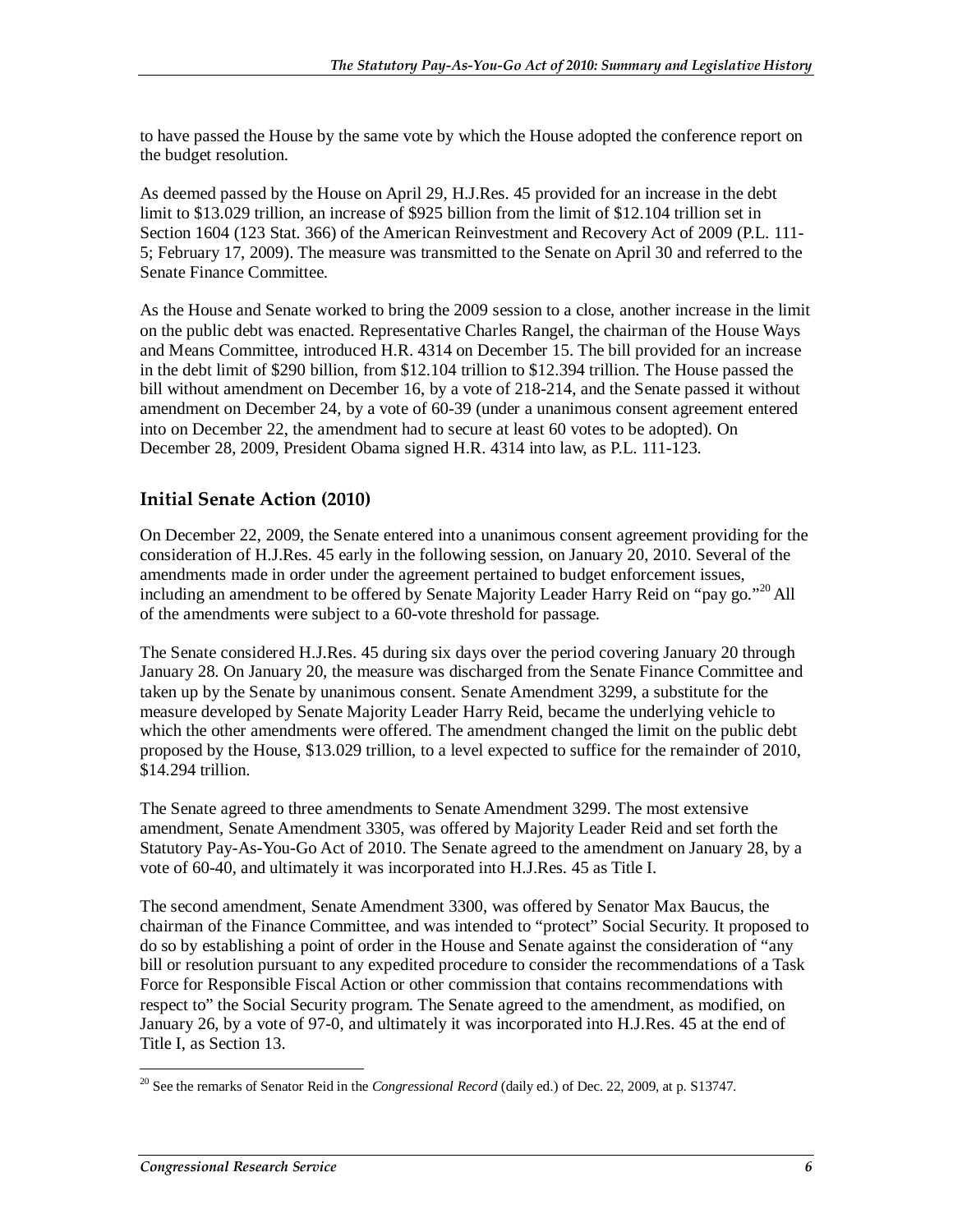to have passed the House by the same vote by which the House adopted the conference report on the budget resolution.

As deemed passed by the House on April 29, H.J.Res. 45 provided for an increase in the debt limit to \$13.029 trillion, an increase of \$925 billion from the limit of \$12.104 trillion set in Section 1604 (123 Stat. 366) of the American Reinvestment and Recovery Act of 2009 (P.L. 111- 5; February 17, 2009). The measure was transmitted to the Senate on April 30 and referred to the Senate Finance Committee.

As the House and Senate worked to bring the 2009 session to a close, another increase in the limit on the public debt was enacted. Representative Charles Rangel, the chairman of the House Ways and Means Committee, introduced H.R. 4314 on December 15. The bill provided for an increase in the debt limit of \$290 billion, from \$12.104 trillion to \$12.394 trillion. The House passed the bill without amendment on December 16, by a vote of 218-214, and the Senate passed it without amendment on December 24, by a vote of 60-39 (under a unanimous consent agreement entered into on December 22, the amendment had to secure at least 60 votes to be adopted). On December 28, 2009, President Obama signed H.R. 4314 into law, as P.L. 111-123.

#### **Initial Senate Action (2010)**

On December 22, 2009, the Senate entered into a unanimous consent agreement providing for the consideration of H.J.Res. 45 early in the following session, on January 20, 2010. Several of the amendments made in order under the agreement pertained to budget enforcement issues, including an amendment to be offered by Senate Majority Leader Harry Reid on "pay go."<sup>20</sup> All of the amendments were subject to a 60-vote threshold for passage.

The Senate considered H.J.Res. 45 during six days over the period covering January 20 through January 28. On January 20, the measure was discharged from the Senate Finance Committee and taken up by the Senate by unanimous consent. Senate Amendment 3299, a substitute for the measure developed by Senate Majority Leader Harry Reid, became the underlying vehicle to which the other amendments were offered. The amendment changed the limit on the public debt proposed by the House, \$13.029 trillion, to a level expected to suffice for the remainder of 2010, \$14.294 trillion.

The Senate agreed to three amendments to Senate Amendment 3299. The most extensive amendment, Senate Amendment 3305, was offered by Majority Leader Reid and set forth the Statutory Pay-As-You-Go Act of 2010. The Senate agreed to the amendment on January 28, by a vote of 60-40, and ultimately it was incorporated into H.J.Res. 45 as Title I.

The second amendment, Senate Amendment 3300, was offered by Senator Max Baucus, the chairman of the Finance Committee, and was intended to "protect" Social Security. It proposed to do so by establishing a point of order in the House and Senate against the consideration of "any bill or resolution pursuant to any expedited procedure to consider the recommendations of a Task Force for Responsible Fiscal Action or other commission that contains recommendations with respect to" the Social Security program. The Senate agreed to the amendment, as modified, on January 26, by a vote of 97-0, and ultimately it was incorporated into H.J.Res. 45 at the end of Title I, as Section 13.

<sup>-</sup>20 See the remarks of Senator Reid in the *Congressional Record* (daily ed.) of Dec. 22, 2009, at p. S13747.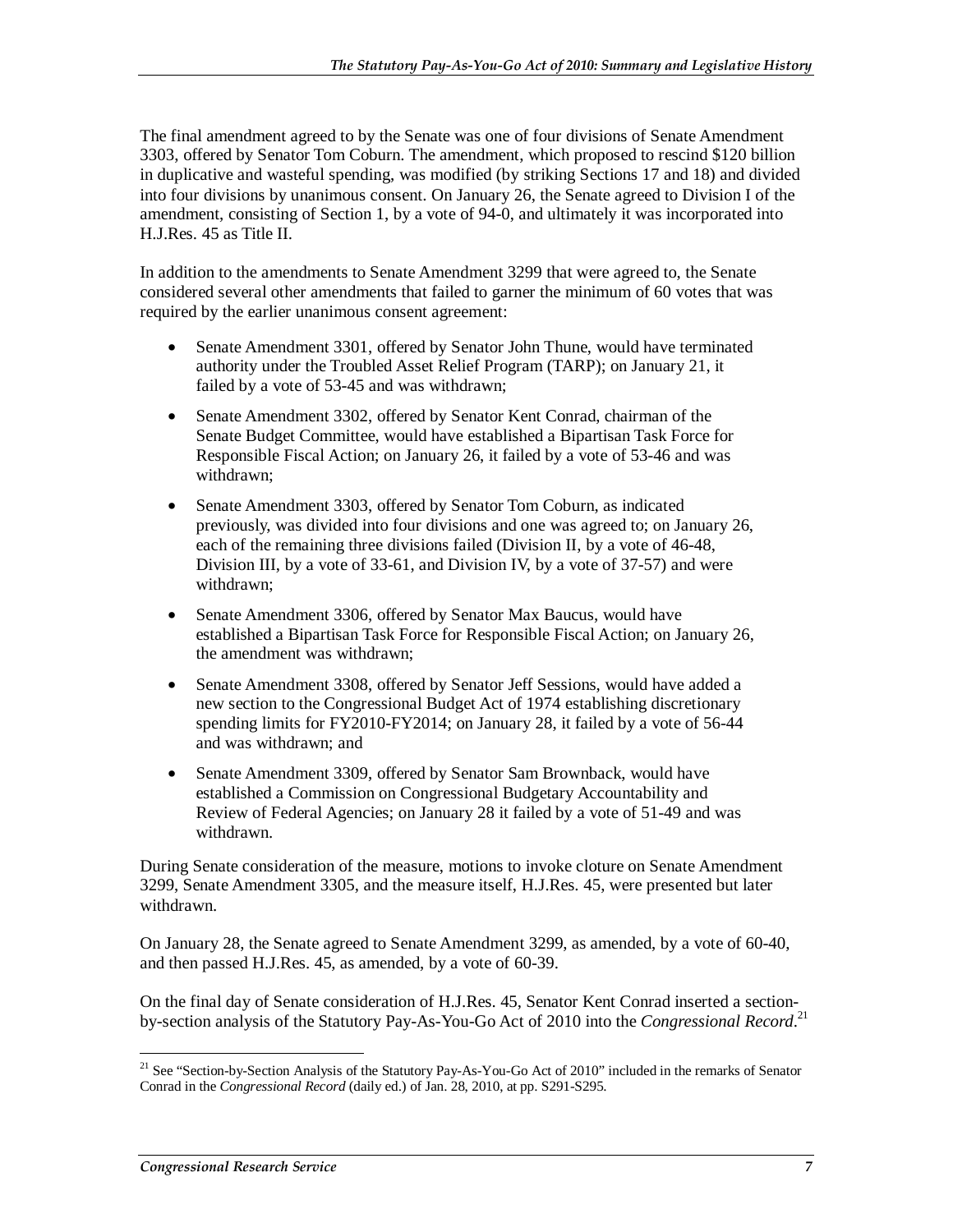The final amendment agreed to by the Senate was one of four divisions of Senate Amendment 3303, offered by Senator Tom Coburn. The amendment, which proposed to rescind \$120 billion in duplicative and wasteful spending, was modified (by striking Sections 17 and 18) and divided into four divisions by unanimous consent. On January 26, the Senate agreed to Division I of the amendment, consisting of Section 1, by a vote of 94-0, and ultimately it was incorporated into H.J.Res. 45 as Title II.

In addition to the amendments to Senate Amendment 3299 that were agreed to, the Senate considered several other amendments that failed to garner the minimum of 60 votes that was required by the earlier unanimous consent agreement:

- Senate Amendment 3301, offered by Senator John Thune, would have terminated authority under the Troubled Asset Relief Program (TARP); on January 21, it failed by a vote of 53-45 and was withdrawn;
- Senate Amendment 3302, offered by Senator Kent Conrad, chairman of the Senate Budget Committee, would have established a Bipartisan Task Force for Responsible Fiscal Action; on January 26, it failed by a vote of 53-46 and was withdrawn;
- Senate Amendment 3303, offered by Senator Tom Coburn, as indicated previously, was divided into four divisions and one was agreed to; on January 26, each of the remaining three divisions failed (Division II, by a vote of 46-48, Division III, by a vote of 33-61, and Division IV, by a vote of 37-57) and were withdrawn;
- Senate Amendment 3306, offered by Senator Max Baucus, would have established a Bipartisan Task Force for Responsible Fiscal Action; on January 26, the amendment was withdrawn;
- Senate Amendment 3308, offered by Senator Jeff Sessions, would have added a new section to the Congressional Budget Act of 1974 establishing discretionary spending limits for FY2010-FY2014; on January 28, it failed by a vote of 56-44 and was withdrawn; and
- Senate Amendment 3309, offered by Senator Sam Brownback, would have established a Commission on Congressional Budgetary Accountability and Review of Federal Agencies; on January 28 it failed by a vote of 51-49 and was withdrawn.

During Senate consideration of the measure, motions to invoke cloture on Senate Amendment 3299, Senate Amendment 3305, and the measure itself, H.J.Res. 45, were presented but later withdrawn.

On January 28, the Senate agreed to Senate Amendment 3299, as amended, by a vote of 60-40, and then passed H.J.Res. 45, as amended, by a vote of 60-39.

On the final day of Senate consideration of H.J.Res. 45, Senator Kent Conrad inserted a sectionby-section analysis of the Statutory Pay-As-You-Go Act of 2010 into the *Congressional Record*. 21

-

<sup>&</sup>lt;sup>21</sup> See "Section-by-Section Analysis of the Statutory Pay-As-You-Go Act of 2010" included in the remarks of Senator Conrad in the *Congressional Record* (daily ed.) of Jan. 28, 2010, at pp. S291-S295.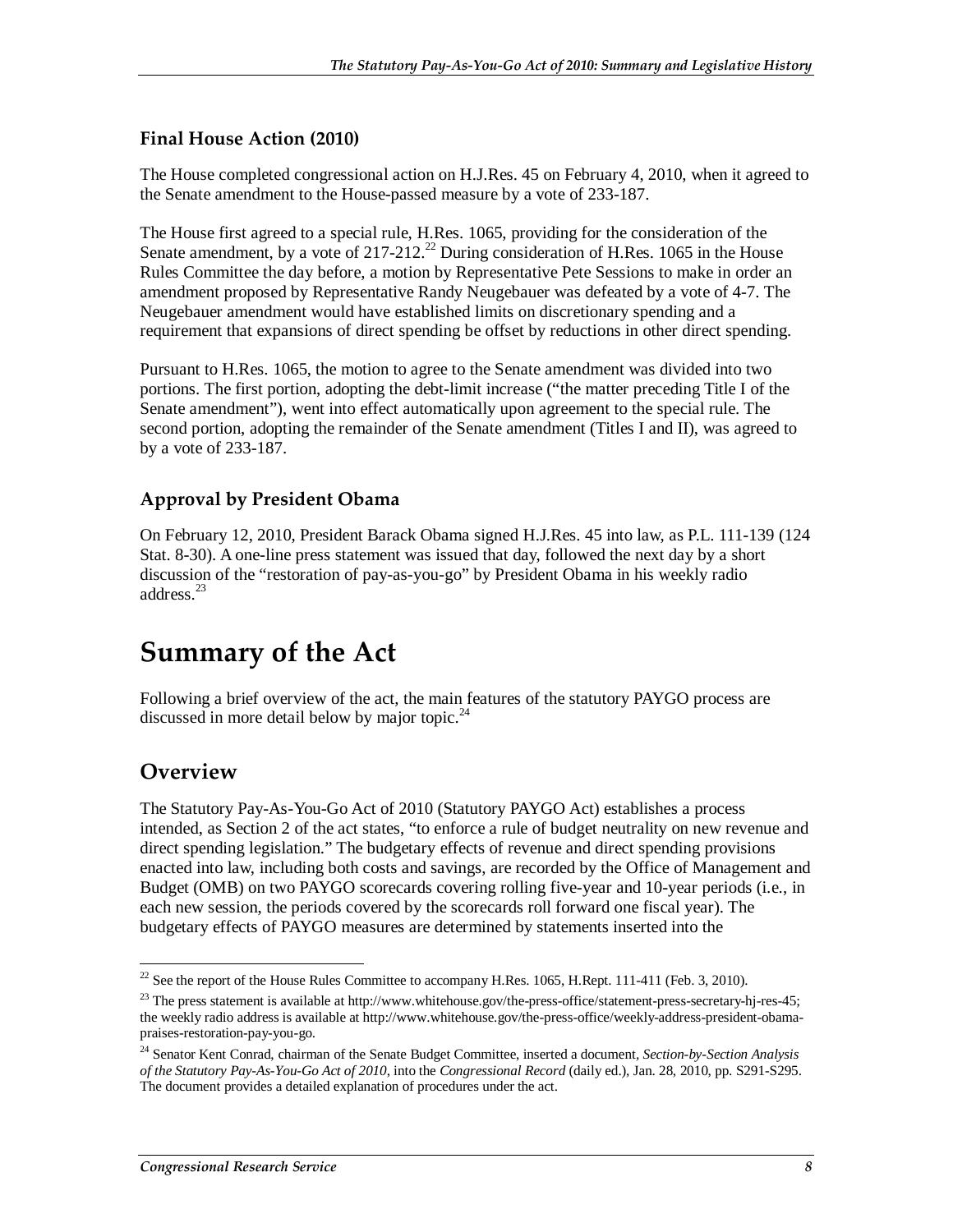#### **Final House Action (2010)**

The House completed congressional action on H.J.Res. 45 on February 4, 2010, when it agreed to the Senate amendment to the House-passed measure by a vote of 233-187.

The House first agreed to a special rule, H.Res. 1065, providing for the consideration of the Senate amendment, by a vote of  $217-212^{22}$  During consideration of H.Res. 1065 in the House Rules Committee the day before, a motion by Representative Pete Sessions to make in order an amendment proposed by Representative Randy Neugebauer was defeated by a vote of 4-7. The Neugebauer amendment would have established limits on discretionary spending and a requirement that expansions of direct spending be offset by reductions in other direct spending.

Pursuant to H.Res. 1065, the motion to agree to the Senate amendment was divided into two portions. The first portion, adopting the debt-limit increase ("the matter preceding Title I of the Senate amendment"), went into effect automatically upon agreement to the special rule. The second portion, adopting the remainder of the Senate amendment (Titles I and II), was agreed to by a vote of 233-187.

#### **Approval by President Obama**

On February 12, 2010, President Barack Obama signed H.J.Res. 45 into law, as P.L. 111-139 (124 Stat. 8-30). A one-line press statement was issued that day, followed the next day by a short discussion of the "restoration of pay-as-you-go" by President Obama in his weekly radio address.<sup>23</sup>

# **Summary of the Act**

Following a brief overview of the act, the main features of the statutory PAYGO process are discussed in more detail below by major topic. $^{24}$ 

### **Overview**

The Statutory Pay-As-You-Go Act of 2010 (Statutory PAYGO Act) establishes a process intended, as Section 2 of the act states, "to enforce a rule of budget neutrality on new revenue and direct spending legislation." The budgetary effects of revenue and direct spending provisions enacted into law, including both costs and savings, are recorded by the Office of Management and Budget (OMB) on two PAYGO scorecards covering rolling five-year and 10-year periods (i.e., in each new session, the periods covered by the scorecards roll forward one fiscal year). The budgetary effects of PAYGO measures are determined by statements inserted into the

 $\frac{1}{2}$  $22$  See the report of the House Rules Committee to accompany H.Res. 1065, H.Rept. 111-411 (Feb. 3, 2010).

<sup>&</sup>lt;sup>23</sup> The press statement is available at http://www.whitehouse.gov/the-press-office/statement-press-secretary-hj-res-45; the weekly radio address is available at http://www.whitehouse.gov/the-press-office/weekly-address-president-obamapraises-restoration-pay-you-go.

<sup>24</sup> Senator Kent Conrad, chairman of the Senate Budget Committee, inserted a document*, Section-by-Section Analysis of the Statutory Pay-As-You-Go Act of 2010*, into the *Congressional Record* (daily ed.), Jan. 28, 2010, pp. S291-S295. The document provides a detailed explanation of procedures under the act.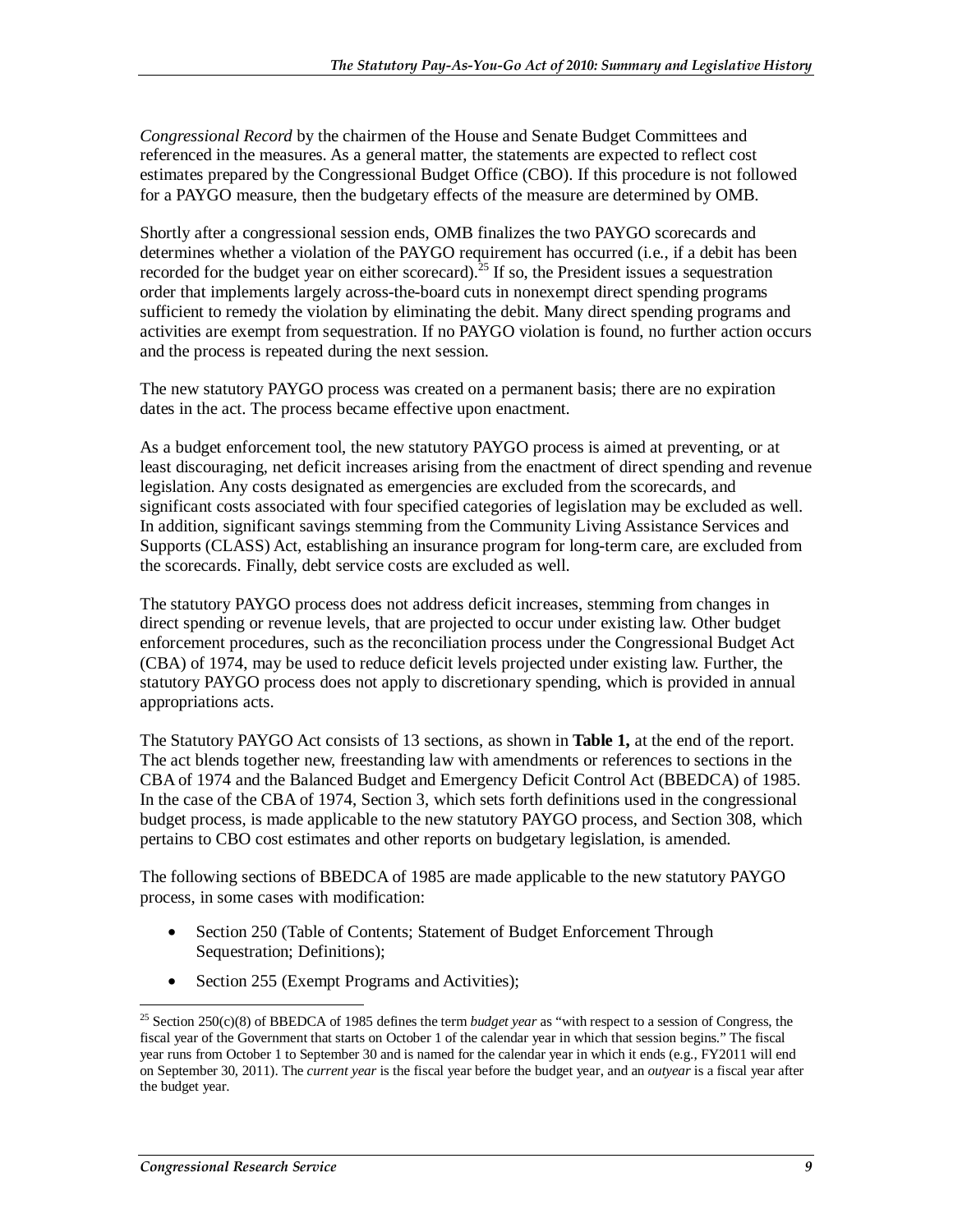*Congressional Record* by the chairmen of the House and Senate Budget Committees and referenced in the measures. As a general matter, the statements are expected to reflect cost estimates prepared by the Congressional Budget Office (CBO). If this procedure is not followed for a PAYGO measure, then the budgetary effects of the measure are determined by OMB.

Shortly after a congressional session ends, OMB finalizes the two PAYGO scorecards and determines whether a violation of the PAYGO requirement has occurred (i.e., if a debit has been recorded for the budget year on either scorecard).<sup>25</sup> If so, the President issues a sequestration order that implements largely across-the-board cuts in nonexempt direct spending programs sufficient to remedy the violation by eliminating the debit. Many direct spending programs and activities are exempt from sequestration. If no PAYGO violation is found, no further action occurs and the process is repeated during the next session.

The new statutory PAYGO process was created on a permanent basis; there are no expiration dates in the act. The process became effective upon enactment.

As a budget enforcement tool, the new statutory PAYGO process is aimed at preventing, or at least discouraging, net deficit increases arising from the enactment of direct spending and revenue legislation. Any costs designated as emergencies are excluded from the scorecards, and significant costs associated with four specified categories of legislation may be excluded as well. In addition, significant savings stemming from the Community Living Assistance Services and Supports (CLASS) Act, establishing an insurance program for long-term care, are excluded from the scorecards. Finally, debt service costs are excluded as well.

The statutory PAYGO process does not address deficit increases, stemming from changes in direct spending or revenue levels, that are projected to occur under existing law. Other budget enforcement procedures, such as the reconciliation process under the Congressional Budget Act (CBA) of 1974, may be used to reduce deficit levels projected under existing law. Further, the statutory PAYGO process does not apply to discretionary spending, which is provided in annual appropriations acts.

The Statutory PAYGO Act consists of 13 sections, as shown in **Table 1,** at the end of the report. The act blends together new, freestanding law with amendments or references to sections in the CBA of 1974 and the Balanced Budget and Emergency Deficit Control Act (BBEDCA) of 1985. In the case of the CBA of 1974, Section 3, which sets forth definitions used in the congressional budget process, is made applicable to the new statutory PAYGO process, and Section 308, which pertains to CBO cost estimates and other reports on budgetary legislation, is amended.

The following sections of BBEDCA of 1985 are made applicable to the new statutory PAYGO process, in some cases with modification:

- Section 250 (Table of Contents; Statement of Budget Enforcement Through Sequestration; Definitions);
- Section 255 (Exempt Programs and Activities);

<sup>-</sup>25 Section 250(c)(8) of BBEDCA of 1985 defines the term *budget year* as "with respect to a session of Congress, the fiscal year of the Government that starts on October 1 of the calendar year in which that session begins." The fiscal year runs from October 1 to September 30 and is named for the calendar year in which it ends (e.g., FY2011 will end on September 30, 2011). The *current year* is the fiscal year before the budget year, and an *outyear* is a fiscal year after the budget year.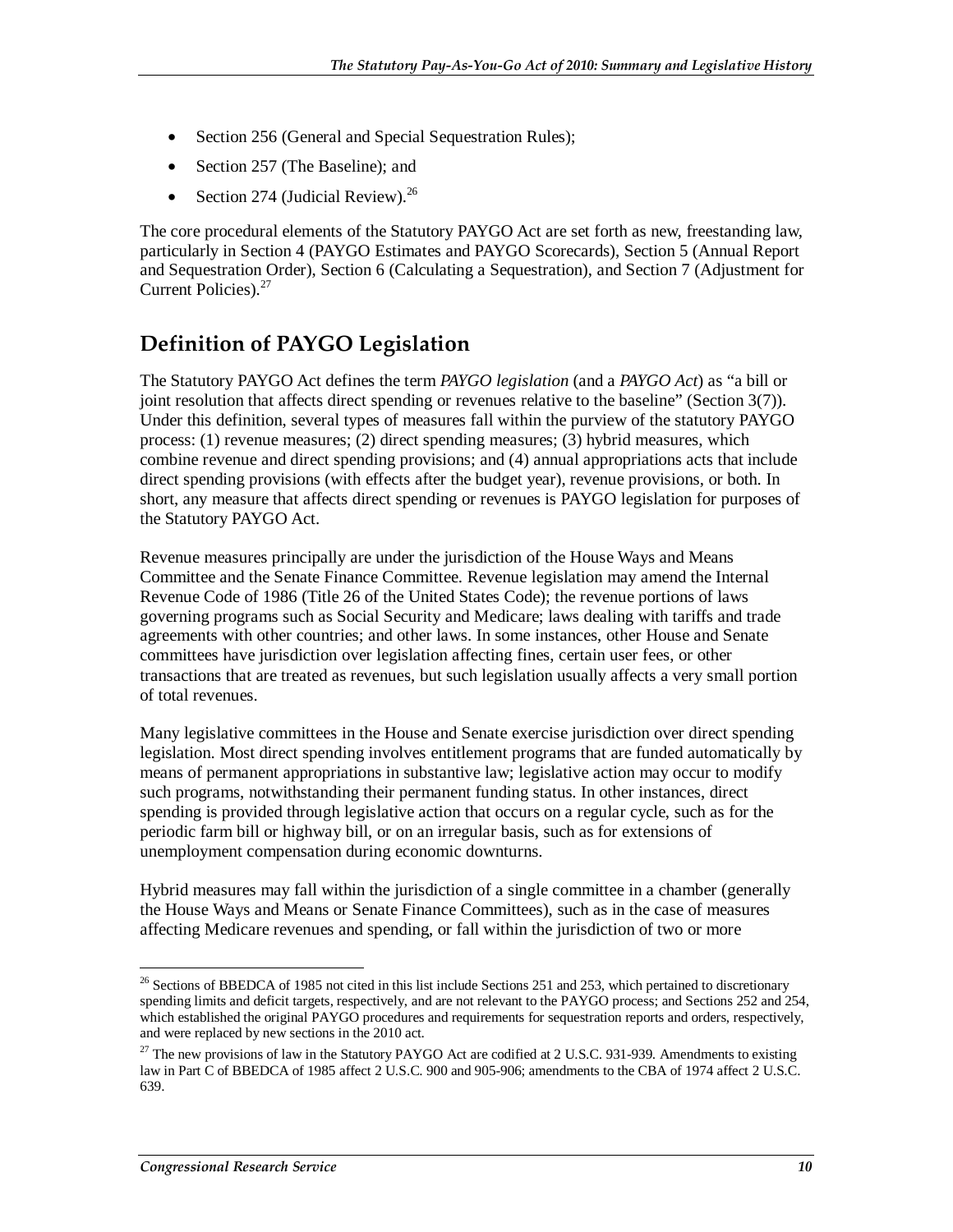- Section 256 (General and Special Sequestration Rules);
- Section 257 (The Baseline); and
- Section 274 (Judicial Review). $^{26}$

The core procedural elements of the Statutory PAYGO Act are set forth as new, freestanding law, particularly in Section 4 (PAYGO Estimates and PAYGO Scorecards), Section 5 (Annual Report and Sequestration Order), Section 6 (Calculating a Sequestration), and Section 7 (Adjustment for Current Policies).<sup>27</sup>

## **Definition of PAYGO Legislation**

The Statutory PAYGO Act defines the term *PAYGO legislation* (and a *PAYGO Act*) as "a bill or joint resolution that affects direct spending or revenues relative to the baseline" (Section 3(7)). Under this definition, several types of measures fall within the purview of the statutory PAYGO process: (1) revenue measures; (2) direct spending measures; (3) hybrid measures, which combine revenue and direct spending provisions; and (4) annual appropriations acts that include direct spending provisions (with effects after the budget year), revenue provisions, or both. In short, any measure that affects direct spending or revenues is PAYGO legislation for purposes of the Statutory PAYGO Act.

Revenue measures principally are under the jurisdiction of the House Ways and Means Committee and the Senate Finance Committee. Revenue legislation may amend the Internal Revenue Code of 1986 (Title 26 of the United States Code); the revenue portions of laws governing programs such as Social Security and Medicare; laws dealing with tariffs and trade agreements with other countries; and other laws. In some instances, other House and Senate committees have jurisdiction over legislation affecting fines, certain user fees, or other transactions that are treated as revenues, but such legislation usually affects a very small portion of total revenues.

Many legislative committees in the House and Senate exercise jurisdiction over direct spending legislation. Most direct spending involves entitlement programs that are funded automatically by means of permanent appropriations in substantive law; legislative action may occur to modify such programs, notwithstanding their permanent funding status. In other instances, direct spending is provided through legislative action that occurs on a regular cycle, such as for the periodic farm bill or highway bill, or on an irregular basis, such as for extensions of unemployment compensation during economic downturns.

Hybrid measures may fall within the jurisdiction of a single committee in a chamber (generally the House Ways and Means or Senate Finance Committees), such as in the case of measures affecting Medicare revenues and spending, or fall within the jurisdiction of two or more

<sup>&</sup>lt;u>.</u> <sup>26</sup> Sections of BBEDCA of 1985 not cited in this list include Sections 251 and 253, which pertained to discretionary spending limits and deficit targets, respectively, and are not relevant to the PAYGO process; and Sections 252 and 254, which established the original PAYGO procedures and requirements for sequestration reports and orders, respectively, and were replaced by new sections in the 2010 act.

 $^{27}$  The new provisions of law in the Statutory PAYGO Act are codified at 2 U.S.C. 931-939. Amendments to existing law in Part C of BBEDCA of 1985 affect 2 U.S.C. 900 and 905-906; amendments to the CBA of 1974 affect 2 U.S.C. 639.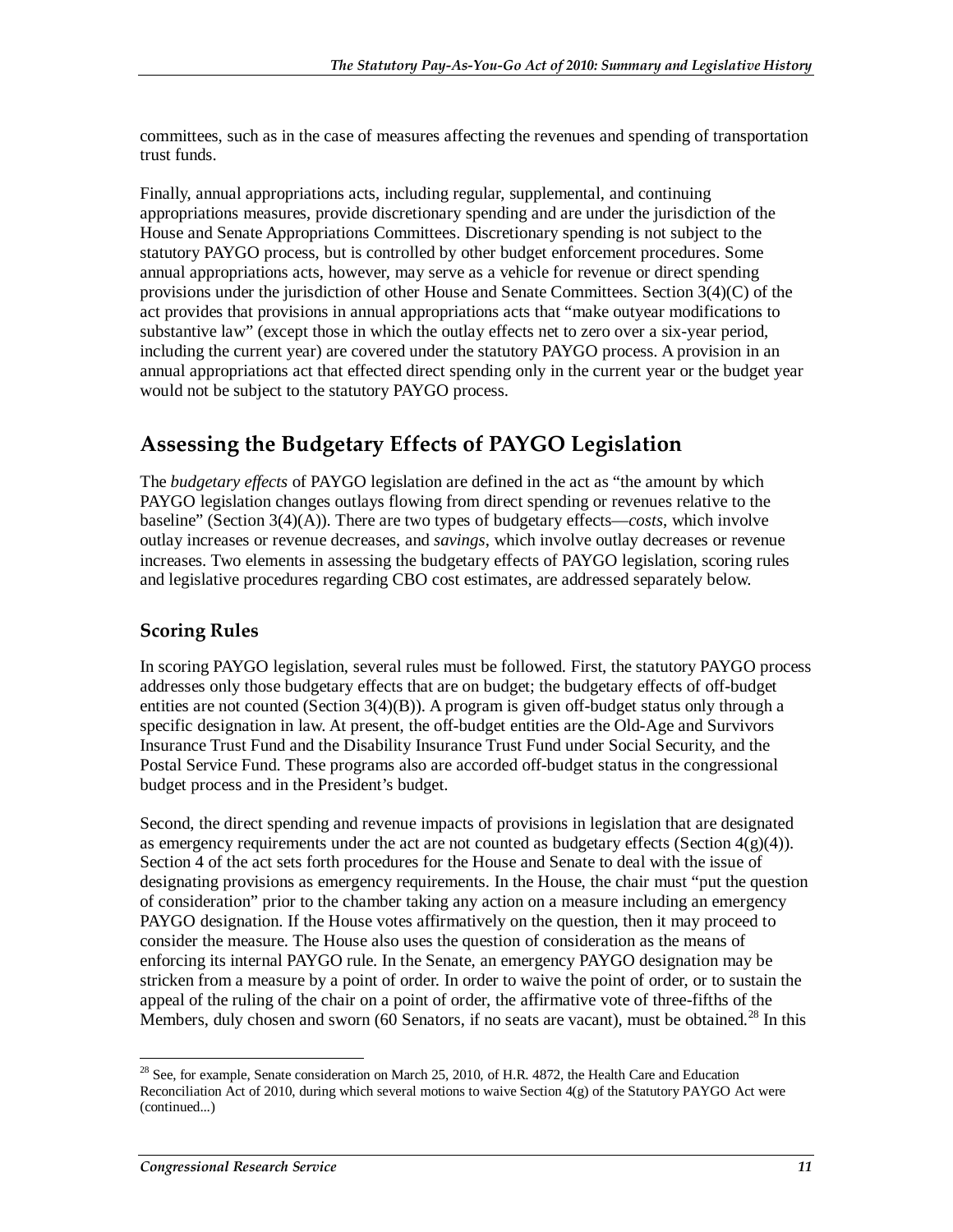committees, such as in the case of measures affecting the revenues and spending of transportation trust funds.

Finally, annual appropriations acts, including regular, supplemental, and continuing appropriations measures, provide discretionary spending and are under the jurisdiction of the House and Senate Appropriations Committees. Discretionary spending is not subject to the statutory PAYGO process, but is controlled by other budget enforcement procedures. Some annual appropriations acts, however, may serve as a vehicle for revenue or direct spending provisions under the jurisdiction of other House and Senate Committees. Section 3(4)(C) of the act provides that provisions in annual appropriations acts that "make outyear modifications to substantive law" (except those in which the outlay effects net to zero over a six-year period, including the current year) are covered under the statutory PAYGO process. A provision in an annual appropriations act that effected direct spending only in the current year or the budget year would not be subject to the statutory PAYGO process.

### **Assessing the Budgetary Effects of PAYGO Legislation**

The *budgetary effects* of PAYGO legislation are defined in the act as "the amount by which PAYGO legislation changes outlays flowing from direct spending or revenues relative to the baseline" (Section 3(4)(A)). There are two types of budgetary effects—*costs*, which involve outlay increases or revenue decreases, and *savings*, which involve outlay decreases or revenue increases. Two elements in assessing the budgetary effects of PAYGO legislation, scoring rules and legislative procedures regarding CBO cost estimates, are addressed separately below.

### **Scoring Rules**

In scoring PAYGO legislation, several rules must be followed. First, the statutory PAYGO process addresses only those budgetary effects that are on budget; the budgetary effects of off-budget entities are not counted (Section  $3(4)(B)$ ). A program is given off-budget status only through a specific designation in law. At present, the off-budget entities are the Old-Age and Survivors Insurance Trust Fund and the Disability Insurance Trust Fund under Social Security, and the Postal Service Fund. These programs also are accorded off-budget status in the congressional budget process and in the President's budget.

Second, the direct spending and revenue impacts of provisions in legislation that are designated as emergency requirements under the act are not counted as budgetary effects (Section  $4(g)(4)$ ). Section 4 of the act sets forth procedures for the House and Senate to deal with the issue of designating provisions as emergency requirements. In the House, the chair must "put the question of consideration" prior to the chamber taking any action on a measure including an emergency PAYGO designation. If the House votes affirmatively on the question, then it may proceed to consider the measure. The House also uses the question of consideration as the means of enforcing its internal PAYGO rule. In the Senate, an emergency PAYGO designation may be stricken from a measure by a point of order. In order to waive the point of order, or to sustain the appeal of the ruling of the chair on a point of order, the affirmative vote of three-fifths of the Members, duly chosen and sworn  $(60 \text{ Sentors}, \text{if no seats are vacant})$ , must be obtained.<sup>28</sup> In this

<sup>-</sup> $28$  See, for example, Senate consideration on March 25, 2010, of H.R. 4872, the Health Care and Education Reconciliation Act of 2010, during which several motions to waive Section 4(g) of the Statutory PAYGO Act were (continued...)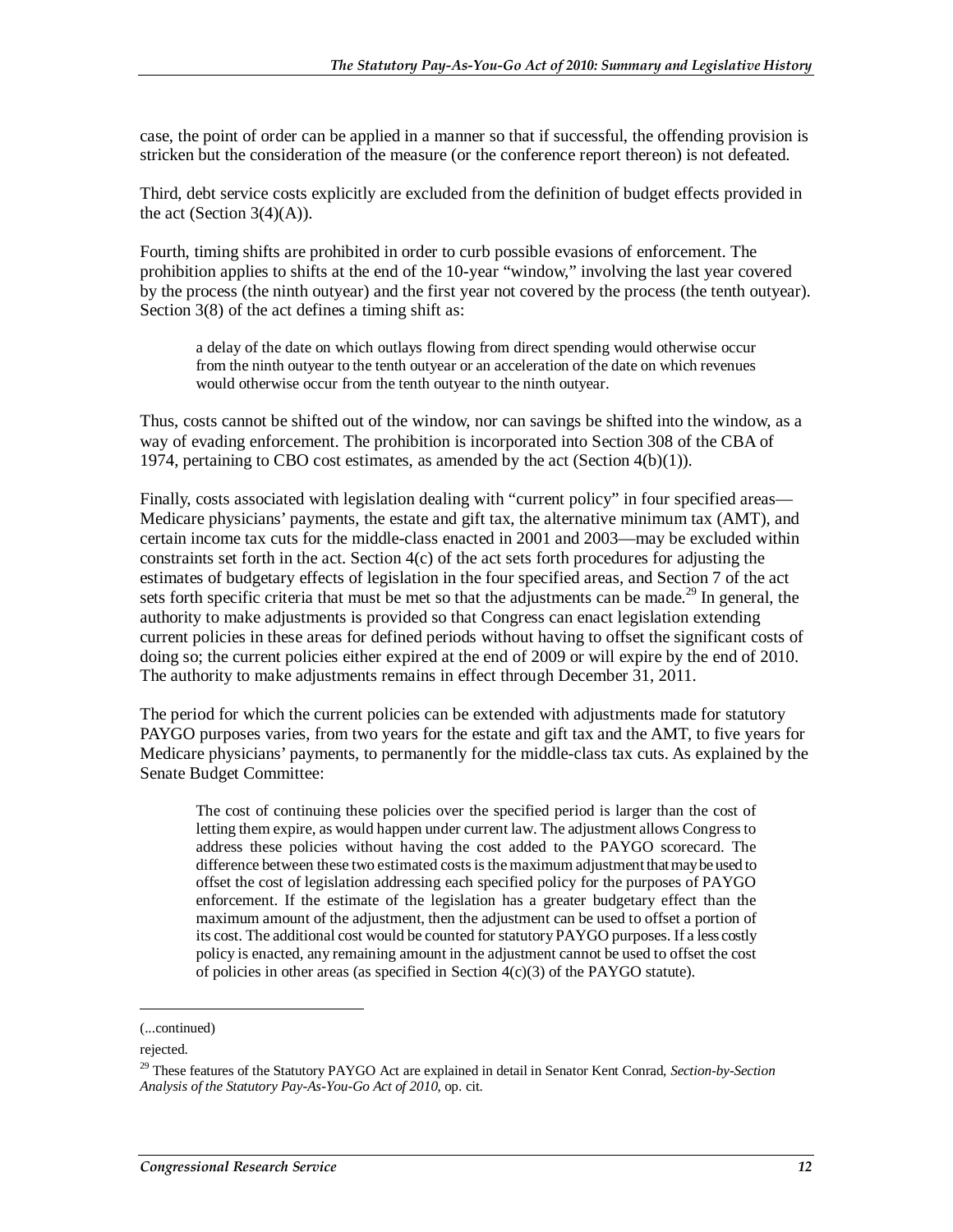case, the point of order can be applied in a manner so that if successful, the offending provision is stricken but the consideration of the measure (or the conference report thereon) is not defeated.

Third, debt service costs explicitly are excluded from the definition of budget effects provided in the act (Section  $3(4)(A)$ ).

Fourth, timing shifts are prohibited in order to curb possible evasions of enforcement. The prohibition applies to shifts at the end of the 10-year "window," involving the last year covered by the process (the ninth outyear) and the first year not covered by the process (the tenth outyear). Section 3(8) of the act defines a timing shift as:

a delay of the date on which outlays flowing from direct spending would otherwise occur from the ninth outyear to the tenth outyear or an acceleration of the date on which revenues would otherwise occur from the tenth outyear to the ninth outyear.

Thus, costs cannot be shifted out of the window, nor can savings be shifted into the window, as a way of evading enforcement. The prohibition is incorporated into Section 308 of the CBA of 1974, pertaining to CBO cost estimates, as amended by the act (Section 4(b)(1)).

Finally, costs associated with legislation dealing with "current policy" in four specified areas— Medicare physicians' payments, the estate and gift tax, the alternative minimum tax (AMT), and certain income tax cuts for the middle-class enacted in 2001 and 2003—may be excluded within constraints set forth in the act. Section 4(c) of the act sets forth procedures for adjusting the estimates of budgetary effects of legislation in the four specified areas, and Section 7 of the act sets forth specific criteria that must be met so that the adjustments can be made.<sup>29</sup> In general, the authority to make adjustments is provided so that Congress can enact legislation extending current policies in these areas for defined periods without having to offset the significant costs of doing so; the current policies either expired at the end of 2009 or will expire by the end of 2010. The authority to make adjustments remains in effect through December 31, 2011.

The period for which the current policies can be extended with adjustments made for statutory PAYGO purposes varies, from two years for the estate and gift tax and the AMT, to five years for Medicare physicians' payments, to permanently for the middle-class tax cuts. As explained by the Senate Budget Committee:

The cost of continuing these policies over the specified period is larger than the cost of letting them expire, as would happen under current law. The adjustment allows Congress to address these policies without having the cost added to the PAYGO scorecard. The difference between these two estimated costs is the maximum adjustment that may be used to offset the cost of legislation addressing each specified policy for the purposes of PAYGO enforcement. If the estimate of the legislation has a greater budgetary effect than the maximum amount of the adjustment, then the adjustment can be used to offset a portion of its cost. The additional cost would be counted for statutory PAYGO purposes. If a less costly policy is enacted, any remaining amount in the adjustment cannot be used to offset the cost of policies in other areas (as specified in Section 4(c)(3) of the PAYGO statute).

1

<sup>(...</sup>continued)

rejected.

<sup>29</sup> These features of the Statutory PAYGO Act are explained in detail in Senator Kent Conrad, *Section-by-Section Analysis of the Statutory Pay-As-You-Go Act of 2010*, op. cit.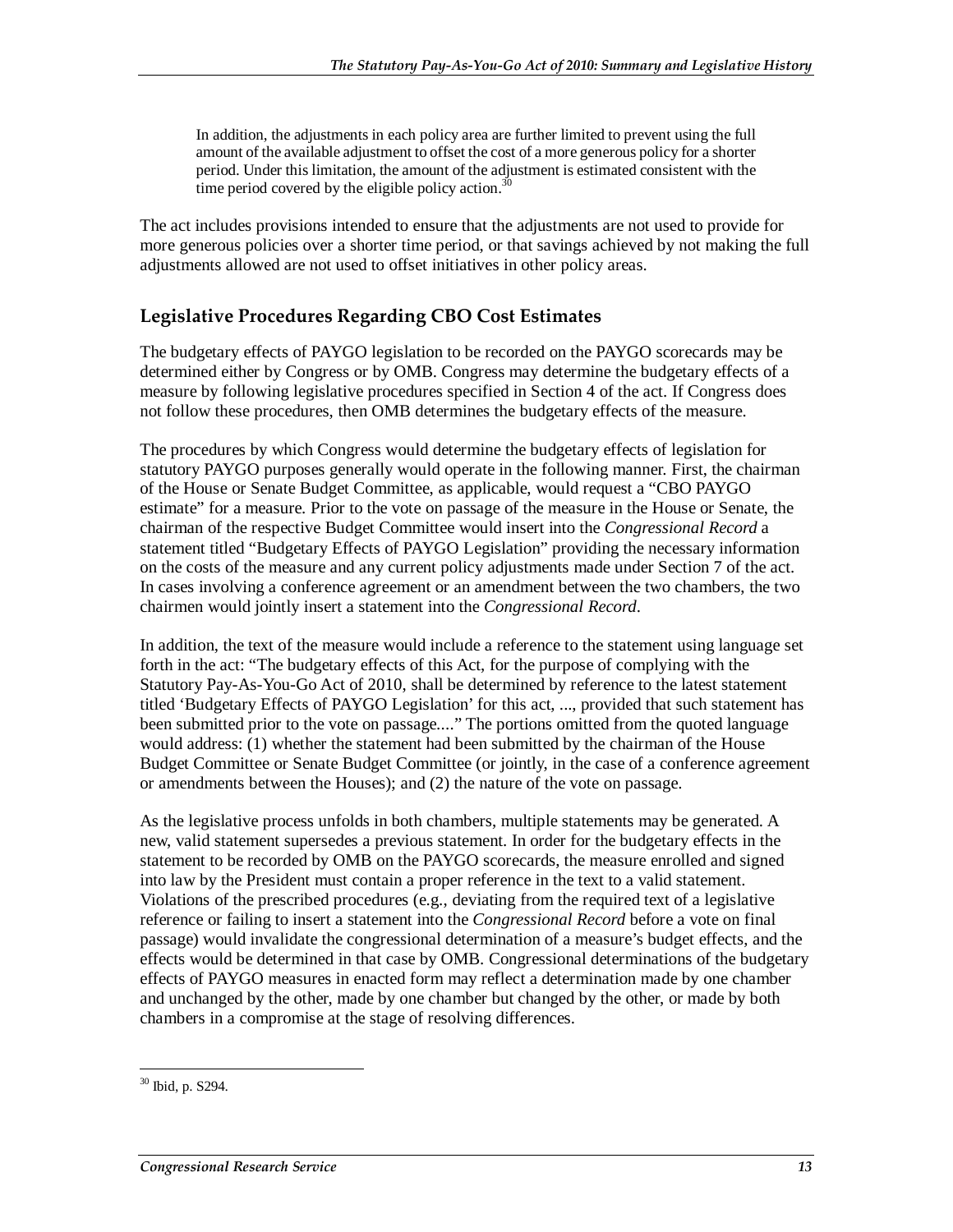In addition, the adjustments in each policy area are further limited to prevent using the full amount of the available adjustment to offset the cost of a more generous policy for a shorter period. Under this limitation, the amount of the adjustment is estimated consistent with the time period covered by the eligible policy action. $30$ 

The act includes provisions intended to ensure that the adjustments are not used to provide for more generous policies over a shorter time period, or that savings achieved by not making the full adjustments allowed are not used to offset initiatives in other policy areas.

### **Legislative Procedures Regarding CBO Cost Estimates**

The budgetary effects of PAYGO legislation to be recorded on the PAYGO scorecards may be determined either by Congress or by OMB. Congress may determine the budgetary effects of a measure by following legislative procedures specified in Section 4 of the act. If Congress does not follow these procedures, then OMB determines the budgetary effects of the measure.

The procedures by which Congress would determine the budgetary effects of legislation for statutory PAYGO purposes generally would operate in the following manner. First, the chairman of the House or Senate Budget Committee, as applicable, would request a "CBO PAYGO estimate" for a measure. Prior to the vote on passage of the measure in the House or Senate, the chairman of the respective Budget Committee would insert into the *Congressional Record* a statement titled "Budgetary Effects of PAYGO Legislation" providing the necessary information on the costs of the measure and any current policy adjustments made under Section 7 of the act. In cases involving a conference agreement or an amendment between the two chambers, the two chairmen would jointly insert a statement into the *Congressional Record*.

In addition, the text of the measure would include a reference to the statement using language set forth in the act: "The budgetary effects of this Act, for the purpose of complying with the Statutory Pay-As-You-Go Act of 2010, shall be determined by reference to the latest statement titled 'Budgetary Effects of PAYGO Legislation' for this act, ..., provided that such statement has been submitted prior to the vote on passage...." The portions omitted from the quoted language would address: (1) whether the statement had been submitted by the chairman of the House Budget Committee or Senate Budget Committee (or jointly, in the case of a conference agreement or amendments between the Houses); and (2) the nature of the vote on passage.

As the legislative process unfolds in both chambers, multiple statements may be generated. A new, valid statement supersedes a previous statement. In order for the budgetary effects in the statement to be recorded by OMB on the PAYGO scorecards, the measure enrolled and signed into law by the President must contain a proper reference in the text to a valid statement. Violations of the prescribed procedures (e.g., deviating from the required text of a legislative reference or failing to insert a statement into the *Congressional Record* before a vote on final passage) would invalidate the congressional determination of a measure's budget effects, and the effects would be determined in that case by OMB. Congressional determinations of the budgetary effects of PAYGO measures in enacted form may reflect a determination made by one chamber and unchanged by the other, made by one chamber but changed by the other, or made by both chambers in a compromise at the stage of resolving differences.

<sup>-</sup>30 Ibid, p. S294.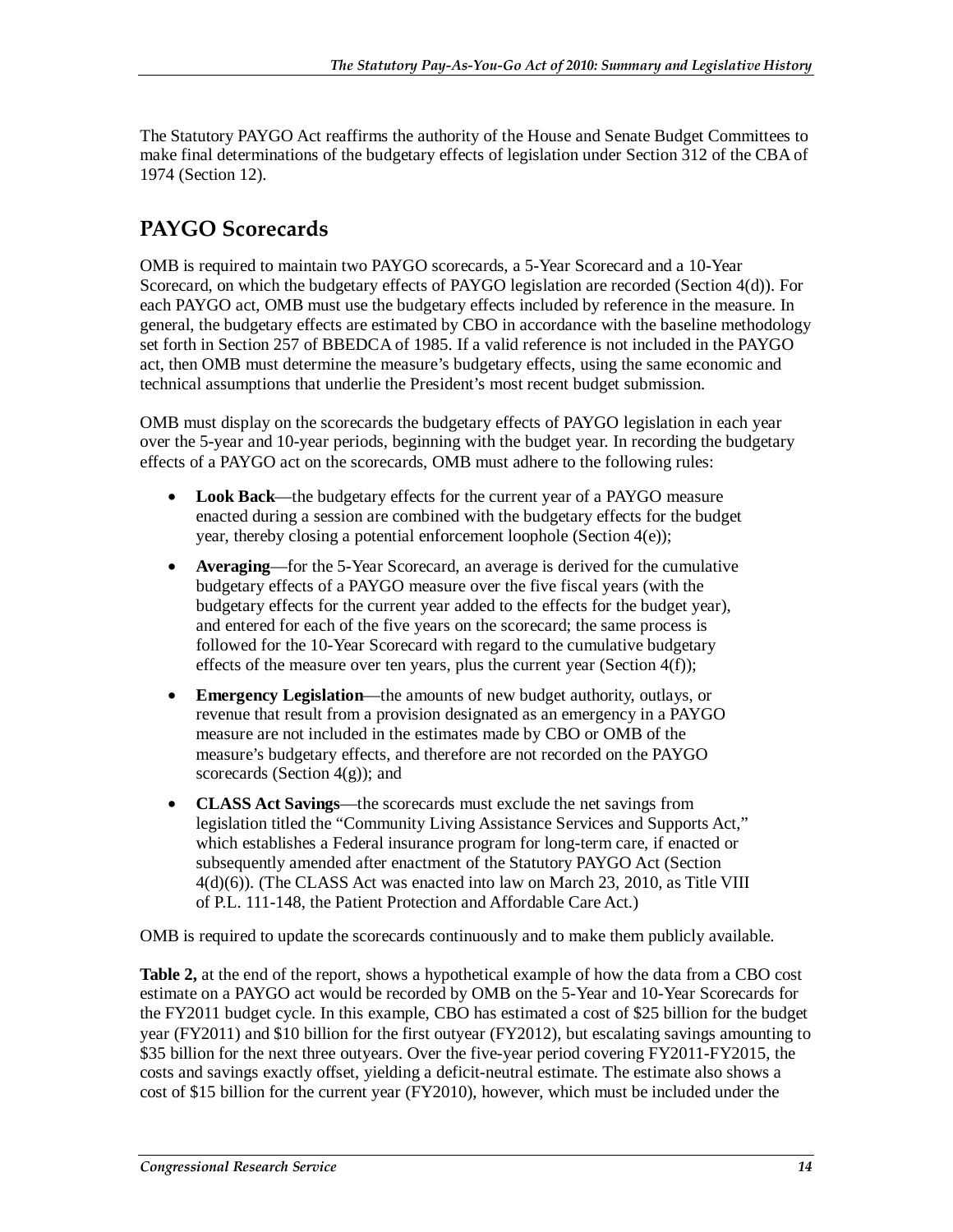The Statutory PAYGO Act reaffirms the authority of the House and Senate Budget Committees to make final determinations of the budgetary effects of legislation under Section 312 of the CBA of 1974 (Section 12).

## **PAYGO Scorecards**

OMB is required to maintain two PAYGO scorecards, a 5-Year Scorecard and a 10-Year Scorecard, on which the budgetary effects of PAYGO legislation are recorded (Section 4(d)). For each PAYGO act, OMB must use the budgetary effects included by reference in the measure. In general, the budgetary effects are estimated by CBO in accordance with the baseline methodology set forth in Section 257 of BBEDCA of 1985. If a valid reference is not included in the PAYGO act, then OMB must determine the measure's budgetary effects, using the same economic and technical assumptions that underlie the President's most recent budget submission.

OMB must display on the scorecards the budgetary effects of PAYGO legislation in each year over the 5-year and 10-year periods, beginning with the budget year. In recording the budgetary effects of a PAYGO act on the scorecards, OMB must adhere to the following rules:

- **Look Back**—the budgetary effects for the current year of a PAYGO measure enacted during a session are combined with the budgetary effects for the budget year, thereby closing a potential enforcement loophole (Section 4(e));
- **Averaging**—for the 5-Year Scorecard, an average is derived for the cumulative budgetary effects of a PAYGO measure over the five fiscal years (with the budgetary effects for the current year added to the effects for the budget year), and entered for each of the five years on the scorecard; the same process is followed for the 10-Year Scorecard with regard to the cumulative budgetary effects of the measure over ten years, plus the current year (Section  $4(f)$ );
- **Emergency Legislation**—the amounts of new budget authority, outlays, or revenue that result from a provision designated as an emergency in a PAYGO measure are not included in the estimates made by CBO or OMB of the measure's budgetary effects, and therefore are not recorded on the PAYGO scorecards (Section  $4(g)$ ); and
- **CLASS Act Savings**—the scorecards must exclude the net savings from legislation titled the "Community Living Assistance Services and Supports Act," which establishes a Federal insurance program for long-term care, if enacted or subsequently amended after enactment of the Statutory PAYGO Act (Section 4(d)(6)). (The CLASS Act was enacted into law on March 23, 2010, as Title VIII of P.L. 111-148, the Patient Protection and Affordable Care Act.)

OMB is required to update the scorecards continuously and to make them publicly available.

**Table 2,** at the end of the report, shows a hypothetical example of how the data from a CBO cost estimate on a PAYGO act would be recorded by OMB on the 5-Year and 10-Year Scorecards for the FY2011 budget cycle. In this example, CBO has estimated a cost of \$25 billion for the budget year (FY2011) and \$10 billion for the first outyear (FY2012), but escalating savings amounting to \$35 billion for the next three outyears. Over the five-year period covering FY2011-FY2015, the costs and savings exactly offset, yielding a deficit-neutral estimate. The estimate also shows a cost of \$15 billion for the current year (FY2010), however, which must be included under the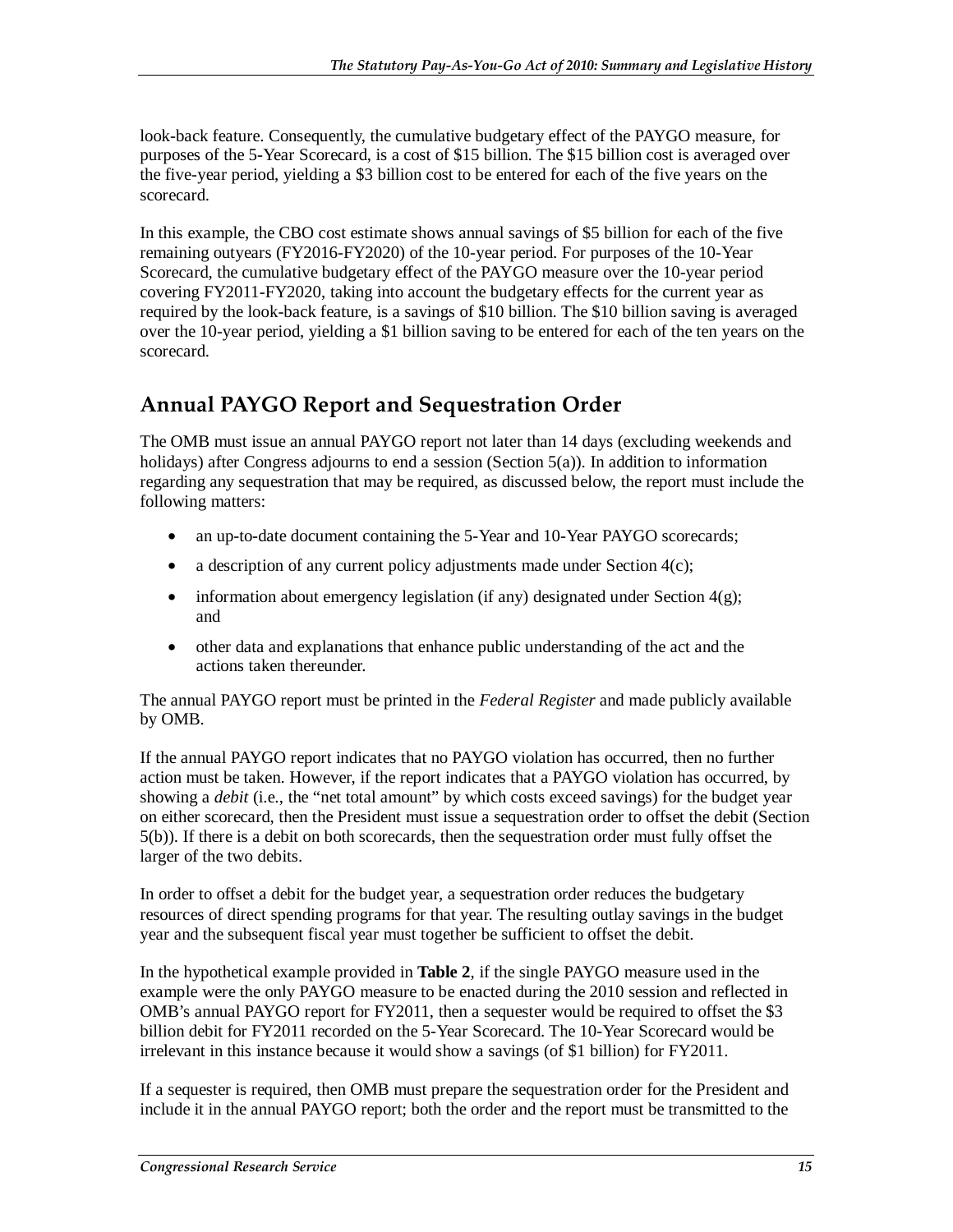look-back feature. Consequently, the cumulative budgetary effect of the PAYGO measure, for purposes of the 5-Year Scorecard, is a cost of \$15 billion. The \$15 billion cost is averaged over the five-year period, yielding a \$3 billion cost to be entered for each of the five years on the scorecard.

In this example, the CBO cost estimate shows annual savings of \$5 billion for each of the five remaining outyears (FY2016-FY2020) of the 10-year period. For purposes of the 10-Year Scorecard, the cumulative budgetary effect of the PAYGO measure over the 10-year period covering FY2011-FY2020, taking into account the budgetary effects for the current year as required by the look-back feature, is a savings of \$10 billion. The \$10 billion saving is averaged over the 10-year period, yielding a \$1 billion saving to be entered for each of the ten years on the scorecard.

# **Annual PAYGO Report and Sequestration Order**

The OMB must issue an annual PAYGO report not later than 14 days (excluding weekends and holidays) after Congress adjourns to end a session (Section 5(a)). In addition to information regarding any sequestration that may be required, as discussed below, the report must include the following matters:

- an up-to-date document containing the 5-Year and 10-Year PAYGO scorecards;
- a description of any current policy adjustments made under Section  $4(c)$ ;
- information about emergency legislation (if any) designated under Section  $4(g)$ ; and
- other data and explanations that enhance public understanding of the act and the actions taken thereunder.

The annual PAYGO report must be printed in the *Federal Register* and made publicly available by OMB.

If the annual PAYGO report indicates that no PAYGO violation has occurred, then no further action must be taken. However, if the report indicates that a PAYGO violation has occurred, by showing a *debit* (i.e., the "net total amount" by which costs exceed savings) for the budget year on either scorecard, then the President must issue a sequestration order to offset the debit (Section 5(b)). If there is a debit on both scorecards, then the sequestration order must fully offset the larger of the two debits.

In order to offset a debit for the budget year, a sequestration order reduces the budgetary resources of direct spending programs for that year. The resulting outlay savings in the budget year and the subsequent fiscal year must together be sufficient to offset the debit.

In the hypothetical example provided in **Table 2**, if the single PAYGO measure used in the example were the only PAYGO measure to be enacted during the 2010 session and reflected in OMB's annual PAYGO report for FY2011, then a sequester would be required to offset the \$3 billion debit for FY2011 recorded on the 5-Year Scorecard. The 10-Year Scorecard would be irrelevant in this instance because it would show a savings (of \$1 billion) for FY2011.

If a sequester is required, then OMB must prepare the sequestration order for the President and include it in the annual PAYGO report; both the order and the report must be transmitted to the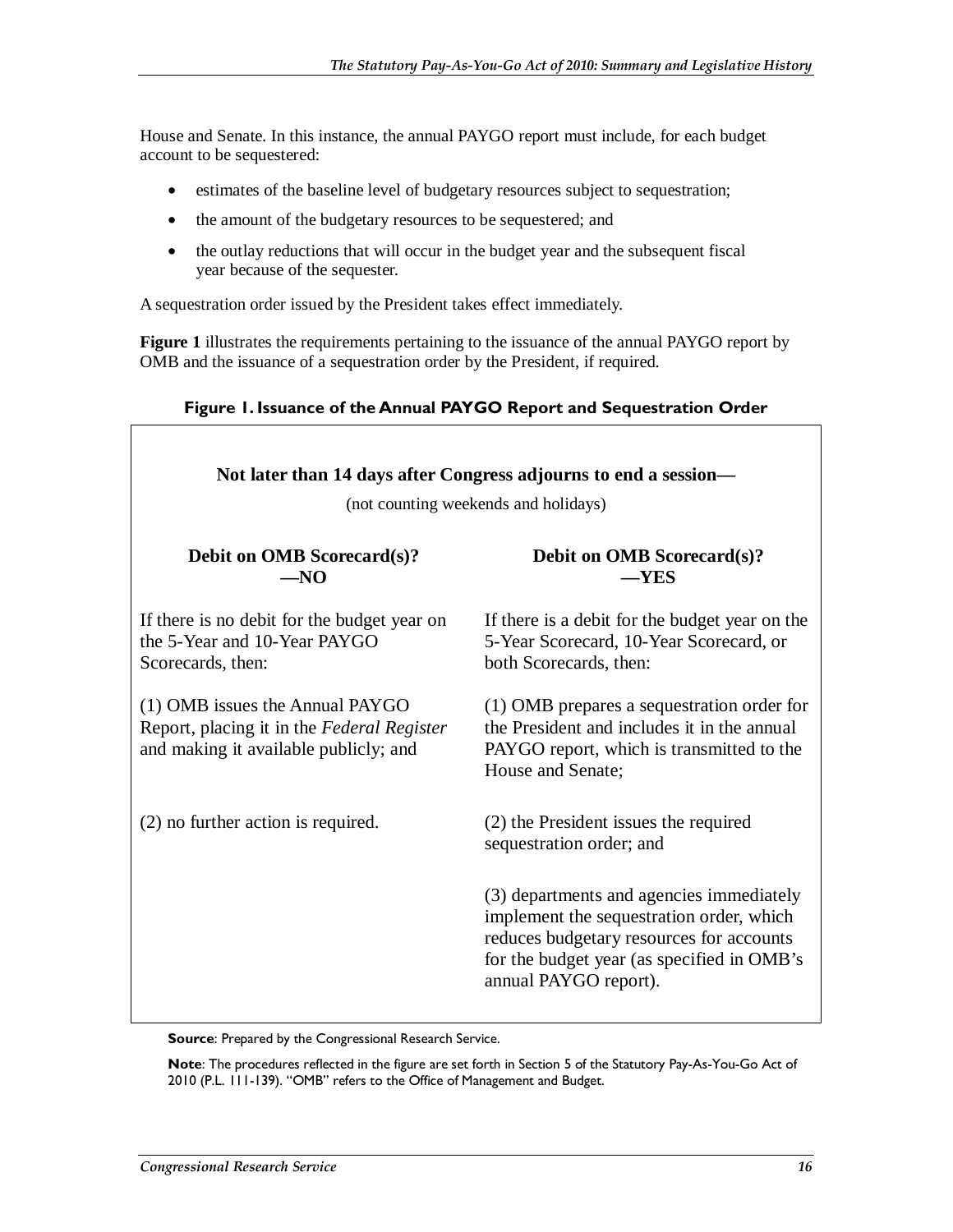House and Senate. In this instance, the annual PAYGO report must include, for each budget account to be sequestered:

- estimates of the baseline level of budgetary resources subject to sequestration;
- the amount of the budgetary resources to be sequestered; and
- the outlay reductions that will occur in the budget year and the subsequent fiscal year because of the sequester.

A sequestration order issued by the President takes effect immediately.

**Figure 1** illustrates the requirements pertaining to the issuance of the annual PAYGO report by OMB and the issuance of a sequestration order by the President, if required.

#### **Figure 1. Issuance of the Annual PAYGO Report and Sequestration Order**

| Not later than 14 days after Congress adjourns to end a session-<br>(not counting weekends and holidays)               |                                                                                                                                                                                                         |  |  |  |  |  |
|------------------------------------------------------------------------------------------------------------------------|---------------------------------------------------------------------------------------------------------------------------------------------------------------------------------------------------------|--|--|--|--|--|
| <b>Debit on OMB Scorecard(s)?</b><br>$-NO$                                                                             | Debit on OMB Scorecard(s)?<br>$-YES$                                                                                                                                                                    |  |  |  |  |  |
| If there is no debit for the budget year on<br>the 5-Year and 10-Year PAYGO<br>Scorecards, then:                       | If there is a debit for the budget year on the<br>5-Year Scorecard, 10-Year Scorecard, or<br>both Scorecards, then:                                                                                     |  |  |  |  |  |
| (1) OMB issues the Annual PAYGO<br>Report, placing it in the Federal Register<br>and making it available publicly; and | (1) OMB prepares a sequestration order for<br>the President and includes it in the annual<br>PAYGO report, which is transmitted to the<br>House and Senate;                                             |  |  |  |  |  |
| (2) no further action is required.                                                                                     | (2) the President issues the required<br>sequestration order; and                                                                                                                                       |  |  |  |  |  |
|                                                                                                                        | (3) departments and agencies immediately<br>implement the sequestration order, which<br>reduces budgetary resources for accounts<br>for the budget year (as specified in OMB's<br>annual PAYGO report). |  |  |  |  |  |

**Source:** Prepared by the Congressional Research Service.

**Note**: The procedures reflected in the figure are set forth in Section 5 of the Statutory Pay-As-You-Go Act of 2010 (P.L. 111-139). "OMB" refers to the Office of Management and Budget.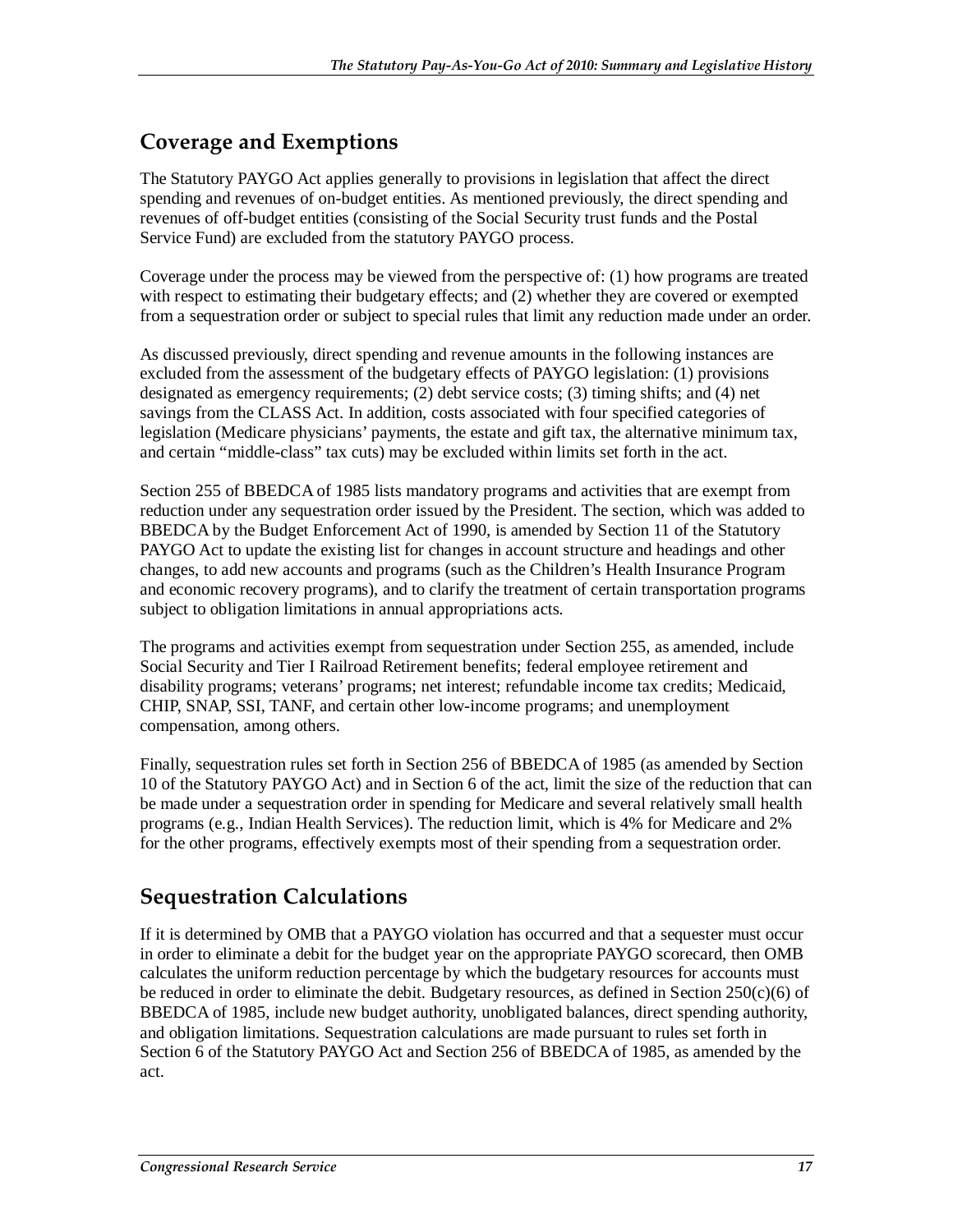### **Coverage and Exemptions**

The Statutory PAYGO Act applies generally to provisions in legislation that affect the direct spending and revenues of on-budget entities. As mentioned previously, the direct spending and revenues of off-budget entities (consisting of the Social Security trust funds and the Postal Service Fund) are excluded from the statutory PAYGO process.

Coverage under the process may be viewed from the perspective of: (1) how programs are treated with respect to estimating their budgetary effects; and (2) whether they are covered or exempted from a sequestration order or subject to special rules that limit any reduction made under an order.

As discussed previously, direct spending and revenue amounts in the following instances are excluded from the assessment of the budgetary effects of PAYGO legislation: (1) provisions designated as emergency requirements; (2) debt service costs; (3) timing shifts; and (4) net savings from the CLASS Act. In addition, costs associated with four specified categories of legislation (Medicare physicians' payments, the estate and gift tax, the alternative minimum tax, and certain "middle-class" tax cuts) may be excluded within limits set forth in the act.

Section 255 of BBEDCA of 1985 lists mandatory programs and activities that are exempt from reduction under any sequestration order issued by the President. The section, which was added to BBEDCA by the Budget Enforcement Act of 1990, is amended by Section 11 of the Statutory PAYGO Act to update the existing list for changes in account structure and headings and other changes, to add new accounts and programs (such as the Children's Health Insurance Program and economic recovery programs), and to clarify the treatment of certain transportation programs subject to obligation limitations in annual appropriations acts.

The programs and activities exempt from sequestration under Section 255, as amended, include Social Security and Tier I Railroad Retirement benefits; federal employee retirement and disability programs; veterans' programs; net interest; refundable income tax credits; Medicaid, CHIP, SNAP, SSI, TANF, and certain other low-income programs; and unemployment compensation, among others.

Finally, sequestration rules set forth in Section 256 of BBEDCA of 1985 (as amended by Section 10 of the Statutory PAYGO Act) and in Section 6 of the act, limit the size of the reduction that can be made under a sequestration order in spending for Medicare and several relatively small health programs (e.g., Indian Health Services). The reduction limit, which is 4% for Medicare and 2% for the other programs, effectively exempts most of their spending from a sequestration order.

## **Sequestration Calculations**

If it is determined by OMB that a PAYGO violation has occurred and that a sequester must occur in order to eliminate a debit for the budget year on the appropriate PAYGO scorecard, then OMB calculates the uniform reduction percentage by which the budgetary resources for accounts must be reduced in order to eliminate the debit. Budgetary resources, as defined in Section  $250(c)(6)$  of BBEDCA of 1985, include new budget authority, unobligated balances, direct spending authority, and obligation limitations. Sequestration calculations are made pursuant to rules set forth in Section 6 of the Statutory PAYGO Act and Section 256 of BBEDCA of 1985, as amended by the act.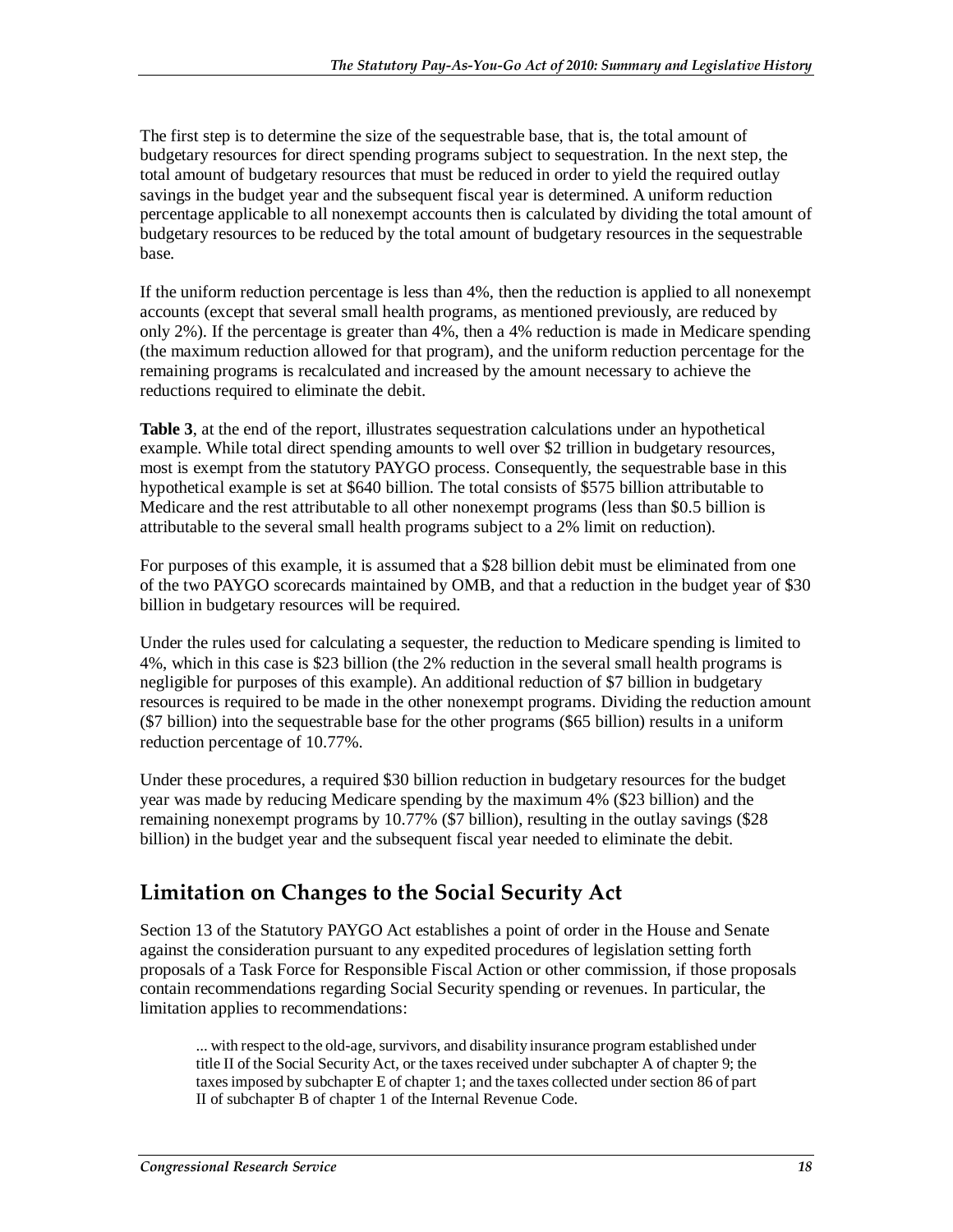The first step is to determine the size of the sequestrable base, that is, the total amount of budgetary resources for direct spending programs subject to sequestration. In the next step, the total amount of budgetary resources that must be reduced in order to yield the required outlay savings in the budget year and the subsequent fiscal year is determined. A uniform reduction percentage applicable to all nonexempt accounts then is calculated by dividing the total amount of budgetary resources to be reduced by the total amount of budgetary resources in the sequestrable base.

If the uniform reduction percentage is less than 4%, then the reduction is applied to all nonexempt accounts (except that several small health programs, as mentioned previously, are reduced by only 2%). If the percentage is greater than 4%, then a 4% reduction is made in Medicare spending (the maximum reduction allowed for that program), and the uniform reduction percentage for the remaining programs is recalculated and increased by the amount necessary to achieve the reductions required to eliminate the debit.

**Table 3**, at the end of the report, illustrates sequestration calculations under an hypothetical example. While total direct spending amounts to well over \$2 trillion in budgetary resources, most is exempt from the statutory PAYGO process. Consequently, the sequestrable base in this hypothetical example is set at \$640 billion. The total consists of \$575 billion attributable to Medicare and the rest attributable to all other nonexempt programs (less than \$0.5 billion is attributable to the several small health programs subject to a 2% limit on reduction).

For purposes of this example, it is assumed that a \$28 billion debit must be eliminated from one of the two PAYGO scorecards maintained by OMB, and that a reduction in the budget year of \$30 billion in budgetary resources will be required.

Under the rules used for calculating a sequester, the reduction to Medicare spending is limited to 4%, which in this case is \$23 billion (the 2% reduction in the several small health programs is negligible for purposes of this example). An additional reduction of \$7 billion in budgetary resources is required to be made in the other nonexempt programs. Dividing the reduction amount (\$7 billion) into the sequestrable base for the other programs (\$65 billion) results in a uniform reduction percentage of 10.77%.

Under these procedures, a required \$30 billion reduction in budgetary resources for the budget year was made by reducing Medicare spending by the maximum 4% (\$23 billion) and the remaining nonexempt programs by 10.77% (\$7 billion), resulting in the outlay savings (\$28 billion) in the budget year and the subsequent fiscal year needed to eliminate the debit.

# **Limitation on Changes to the Social Security Act**

Section 13 of the Statutory PAYGO Act establishes a point of order in the House and Senate against the consideration pursuant to any expedited procedures of legislation setting forth proposals of a Task Force for Responsible Fiscal Action or other commission, if those proposals contain recommendations regarding Social Security spending or revenues. In particular, the limitation applies to recommendations:

... with respect to the old-age, survivors, and disability insurance program established under title II of the Social Security Act, or the taxes received under subchapter A of chapter 9; the taxes imposed by subchapter E of chapter 1; and the taxes collected under section 86 of part II of subchapter B of chapter 1 of the Internal Revenue Code.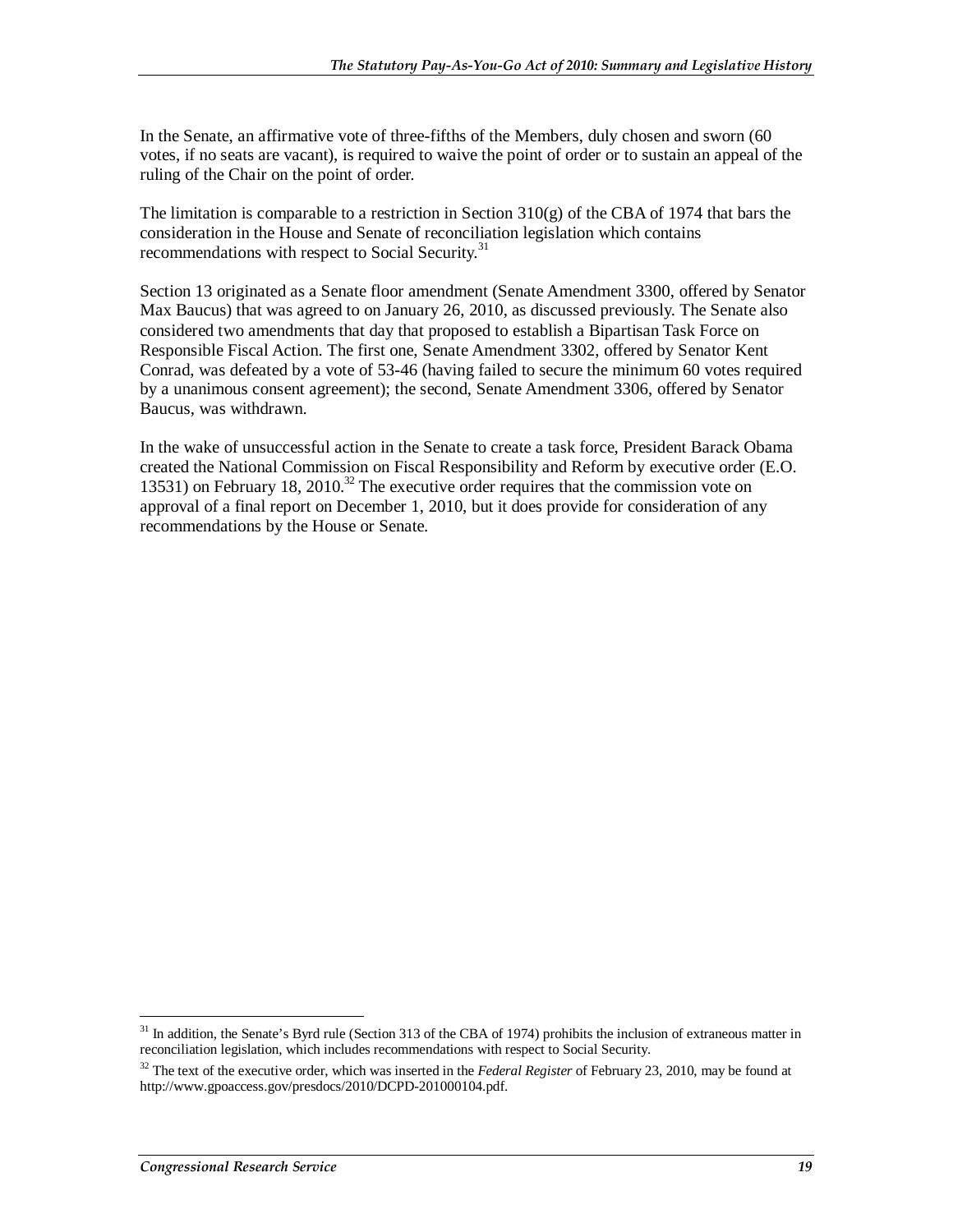In the Senate, an affirmative vote of three-fifths of the Members, duly chosen and sworn (60 votes, if no seats are vacant), is required to waive the point of order or to sustain an appeal of the ruling of the Chair on the point of order.

The limitation is comparable to a restriction in Section  $310(g)$  of the CBA of 1974 that bars the consideration in the House and Senate of reconciliation legislation which contains recommendations with respect to Social Security.<sup>31</sup>

Section 13 originated as a Senate floor amendment (Senate Amendment 3300, offered by Senator Max Baucus) that was agreed to on January 26, 2010, as discussed previously. The Senate also considered two amendments that day that proposed to establish a Bipartisan Task Force on Responsible Fiscal Action. The first one, Senate Amendment 3302, offered by Senator Kent Conrad, was defeated by a vote of 53-46 (having failed to secure the minimum 60 votes required by a unanimous consent agreement); the second, Senate Amendment 3306, offered by Senator Baucus, was withdrawn.

In the wake of unsuccessful action in the Senate to create a task force, President Barack Obama created the National Commission on Fiscal Responsibility and Reform by executive order (E.O. 13531) on February 18, 2010.<sup>32</sup> The executive order requires that the commission vote on approval of a final report on December 1, 2010, but it does provide for consideration of any recommendations by the House or Senate.

<sup>-</sup><sup>31</sup> In addition, the Senate's Byrd rule (Section 313 of the CBA of 1974) prohibits the inclusion of extraneous matter in reconciliation legislation, which includes recommendations with respect to Social Security.

<sup>&</sup>lt;sup>32</sup> The text of the executive order, which was inserted in the *Federal Register* of February 23, 2010, may be found at http://www.gpoaccess.gov/presdocs/2010/DCPD-201000104.pdf.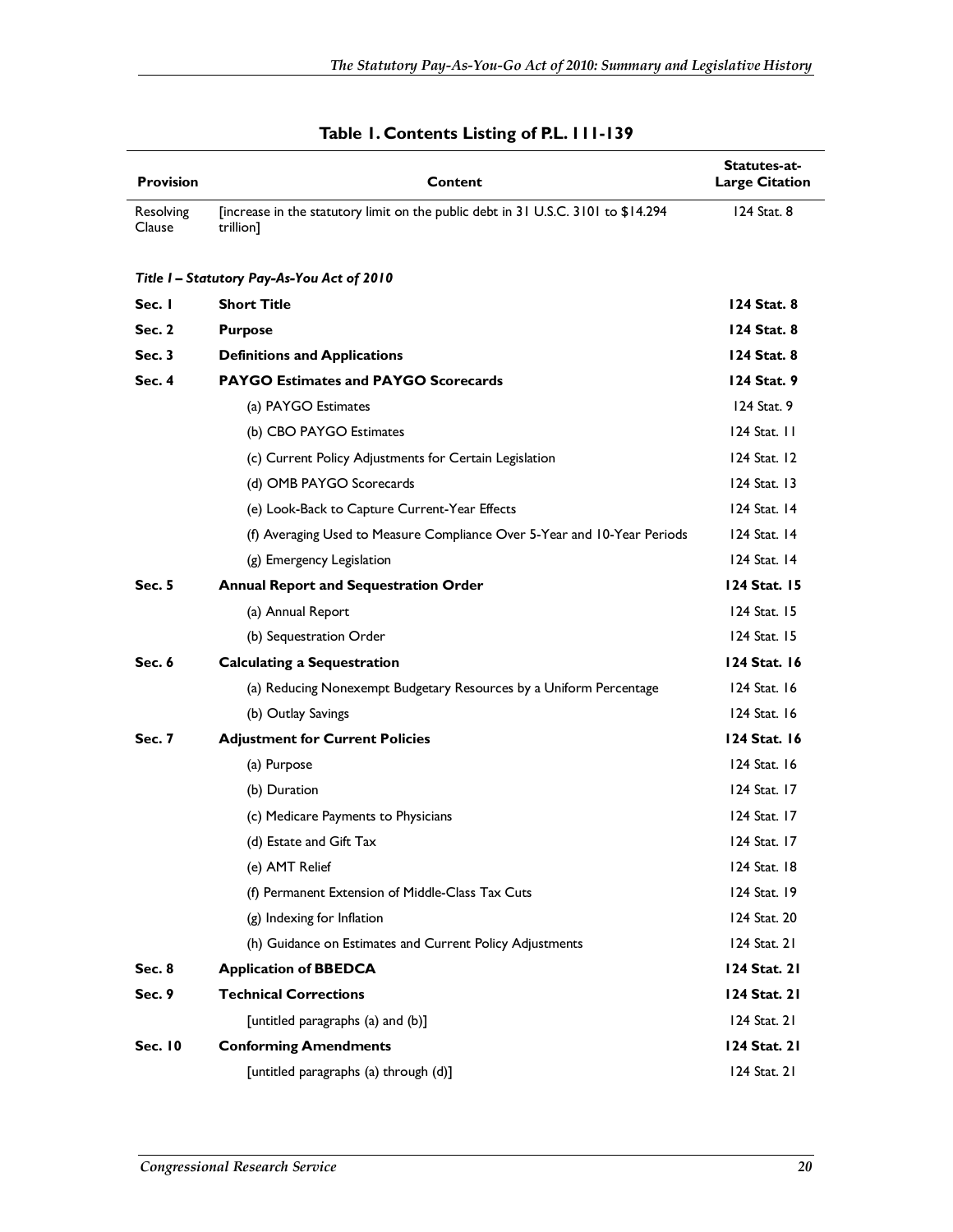| <b>Provision</b>    | Content                                                                                        | Statutes-at-<br><b>Large Citation</b> |
|---------------------|------------------------------------------------------------------------------------------------|---------------------------------------|
| Resolving<br>Clause | [increase in the statutory limit on the public debt in 31 U.S.C. 3101 to \$14.294<br>trillion] | 124 Stat. 8                           |
|                     | Title I - Statutory Pay-As-You Act of 2010                                                     |                                       |
| Sec. I              | <b>Short Title</b>                                                                             | 124 Stat. 8                           |
| <b>Sec. 2</b>       | <b>Purpose</b>                                                                                 | 124 Stat. 8                           |
| Sec.3               | <b>Definitions and Applications</b>                                                            | 124 Stat. 8                           |
| Sec. $4$            | <b>PAYGO Estimates and PAYGO Scorecards</b>                                                    | 124 Stat. 9                           |
|                     | (a) PAYGO Estimates                                                                            | 124 Stat. 9                           |
|                     | (b) CBO PAYGO Estimates                                                                        | $124$ Stat. $11$                      |
|                     | (c) Current Policy Adjustments for Certain Legislation                                         | 124 Stat. 12                          |
|                     | (d) OMB PAYGO Scorecards                                                                       | $124$ Stat. 13                        |
|                     | (e) Look-Back to Capture Current-Year Effects                                                  | 124 Stat. 14                          |
|                     | (f) Averaging Used to Measure Compliance Over 5-Year and 10-Year Periods                       | 124 Stat. 14                          |
|                     | (g) Emergency Legislation                                                                      | $124$ Stat. $14$                      |
| Sec. 5              | <b>Annual Report and Sequestration Order</b>                                                   | 124 Stat. 15                          |
|                     | (a) Annual Report                                                                              | 124 Stat. 15                          |
|                     | (b) Sequestration Order                                                                        | 124 Stat. 15                          |
| Sec. 6              | <b>Calculating a Sequestration</b>                                                             | 124 Stat. 16                          |
|                     | (a) Reducing Nonexempt Budgetary Resources by a Uniform Percentage                             | 124 Stat. 16                          |
|                     | (b) Outlay Savings                                                                             | 124 Stat. 16                          |
| <b>Sec. 7</b>       | <b>Adjustment for Current Policies</b>                                                         | 124 Stat. 16                          |
|                     | (a) Purpose                                                                                    | 124 Stat. 16                          |
|                     | (b) Duration                                                                                   | 124 Stat. 17                          |
|                     | (c) Medicare Payments to Physicians                                                            | 124 Stat. 17                          |
|                     | (d) Estate and Gift Tax                                                                        | 124 Stat. 17                          |
|                     | (e) AMT Relief                                                                                 | 124 Stat. 18                          |
|                     | (f) Permanent Extension of Middle-Class Tax Cuts                                               | 124 Stat. 19                          |
|                     | (g) Indexing for Inflation                                                                     | 124 Stat. 20                          |
|                     | (h) Guidance on Estimates and Current Policy Adjustments                                       | 124 Stat. 21                          |
| <b>Sec. 8</b>       | <b>Application of BBEDCA</b>                                                                   | 124 Stat. 21                          |
| Sec. 9              | <b>Technical Corrections</b>                                                                   | 124 Stat. 21                          |
|                     | [untitled paragraphs (a) and (b)]                                                              | 124 Stat. 21                          |
| <b>Sec. 10</b>      | <b>Conforming Amendments</b>                                                                   | 124 Stat. 21                          |
|                     | [untitled paragraphs (a) through (d)]                                                          | 124 Stat. 21                          |

#### **Table 1. Contents Listing of P.L. 111-139**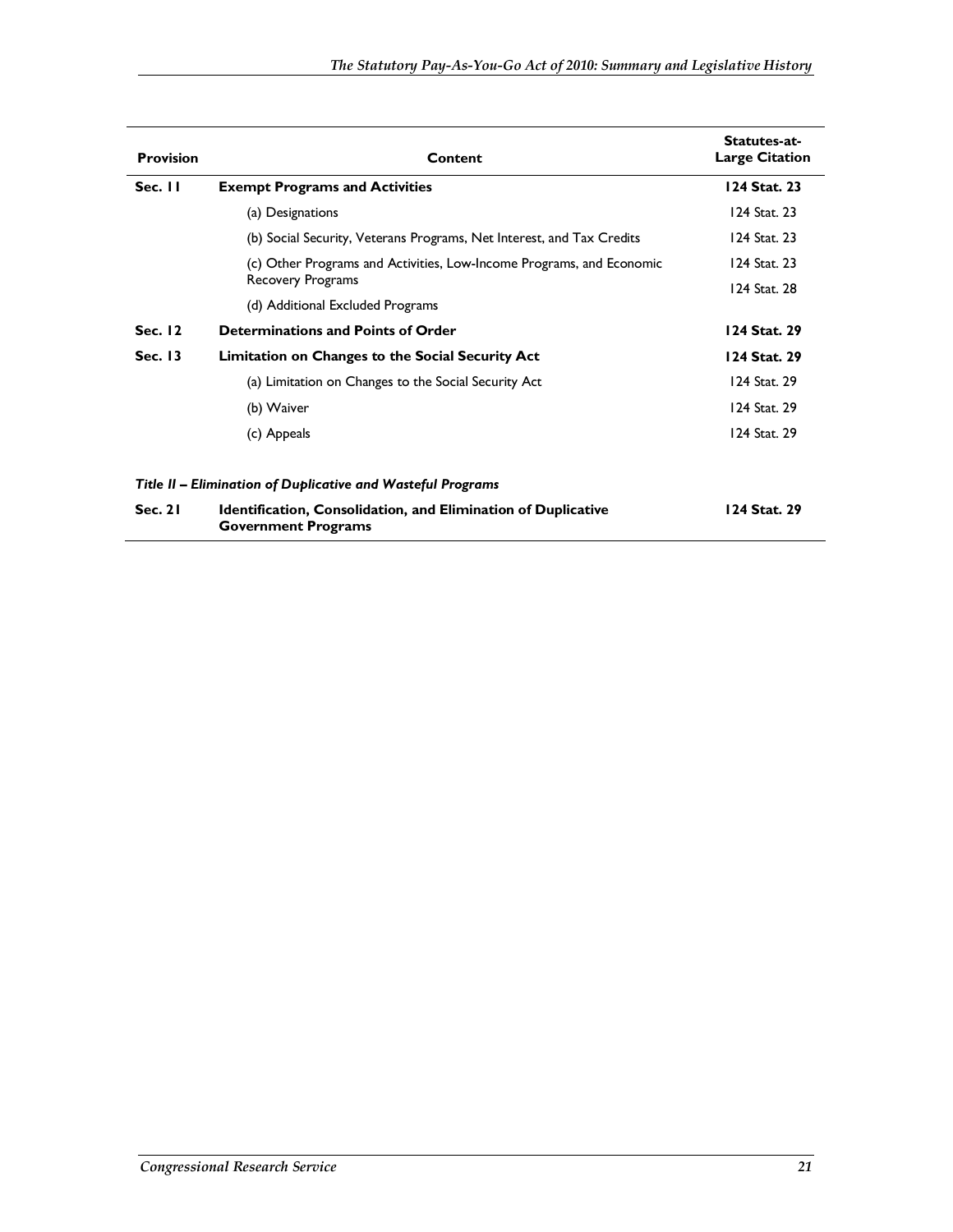| <b>Provision</b> | Content                                                                                            | Statutes-at-<br><b>Large Citation</b> |
|------------------|----------------------------------------------------------------------------------------------------|---------------------------------------|
| Sec. 11          | <b>Exempt Programs and Activities</b>                                                              | 124 Stat. 23                          |
|                  | (a) Designations                                                                                   | 124 Stat. 23                          |
|                  | (b) Social Security, Veterans Programs, Net Interest, and Tax Credits                              | 124 Stat. 23                          |
|                  | (c) Other Programs and Activities, Low-Income Programs, and Economic                               | 124 Stat. 23                          |
|                  | <b>Recovery Programs</b>                                                                           | 124 Stat. 28                          |
|                  | (d) Additional Excluded Programs                                                                   |                                       |
| Sec. 12          | Determinations and Points of Order                                                                 | 124 Stat. 29                          |
| <b>Sec. 13</b>   | Limitation on Changes to the Social Security Act                                                   | 124 Stat. 29                          |
|                  | (a) Limitation on Changes to the Social Security Act                                               | 124 Stat. 29                          |
|                  | (b) Waiver                                                                                         | 124 Stat. 29                          |
|                  | (c) Appeals                                                                                        | 124 Stat. 29                          |
|                  | Title II - Elimination of Duplicative and Wasteful Programs                                        |                                       |
| Sec. 21          | <b>Identification, Consolidation, and Elimination of Duplicative</b><br><b>Government Programs</b> | 124 Stat. 29                          |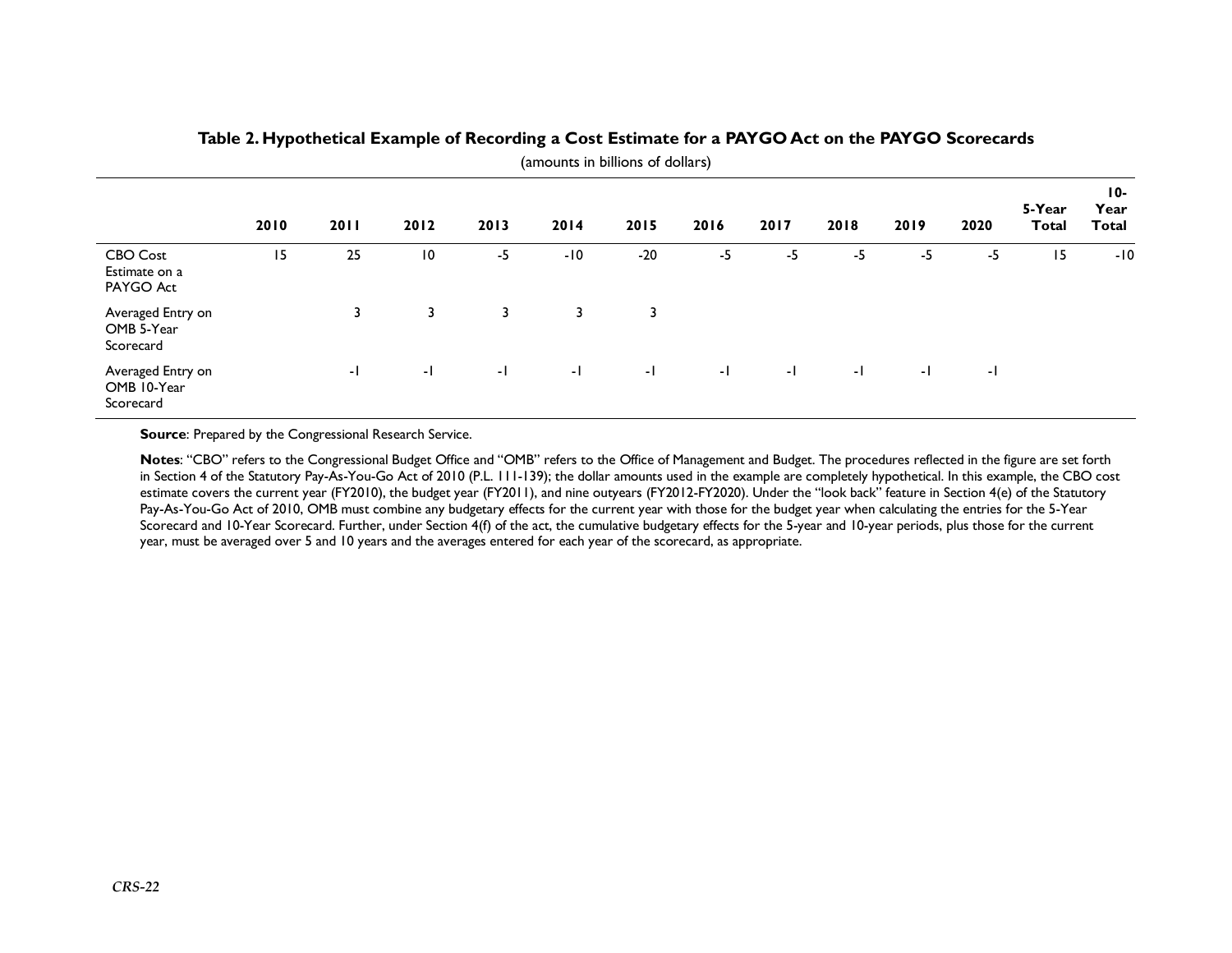|                                               | 2010 | 2011 | 2012            | 2013         | 2014  | 2015  | 2016 | 2017 | 2018 | 2019 | 2020         | 5-Year<br><b>Total</b> | 10-<br>Year<br>Total |
|-----------------------------------------------|------|------|-----------------|--------------|-------|-------|------|------|------|------|--------------|------------------------|----------------------|
| CBO Cost<br>Estimate on a<br>PAYGO Act        | 15   | 25   | $\overline{10}$ | -5           | $-10$ | $-20$ | -5   | -5   | $-5$ | -5   | -5           | 15                     | $-10$                |
| Averaged Entry on<br>OMB 5-Year<br>Scorecard  |      | 3    | 3               | 3            | 3     | 3     |      |      |      |      |              |                        |                      |
| Averaged Entry on<br>OMB 10-Year<br>Scorecard |      | ÷I.  | - L             | $\mathbf{E}$ | $-1$  | -1    | $-1$ | $-1$ | -1   | $-1$ | $\mathbf{E}$ |                        |                      |

#### **Table 2. Hypothetical Example of Recording a Cost Estimate for a PAYGO Act on the PAYGO Scorecards**  (amounts in billions of dollars)

**Source:** Prepared by the Congressional Research Service.

**Notes**: "CBO" refers to the Congressional Budget Office and "OMB" refers to the Office of Management and Budget. The procedures reflected in the figure are set forth in Section 4 of the Statutory Pay-As-You-Go Act of 2010 (P.L. 111-139); the dollar amounts used in the example are completely hypothetical. In this example, the CBO cost estimate covers the current year (FY2010), the budget year (FY2011), and nine outyears (FY2012-FY2020). Under the "look back" feature in Section 4(e) of the Statutory Pay-As-You-Go Act of 2010, OMB must combine any budgetary effects for the current year with those for the budget year when calculating the entries for the 5-Year Scorecard and 10-Year Scorecard. Further, under Section 4(f) of the act, the cumulative budgetary effects for the 5-year and 10-year periods, plus those for the current year, must be averaged over 5 and 10 years and the averages entered for each year of the scorecard, as appropriate.